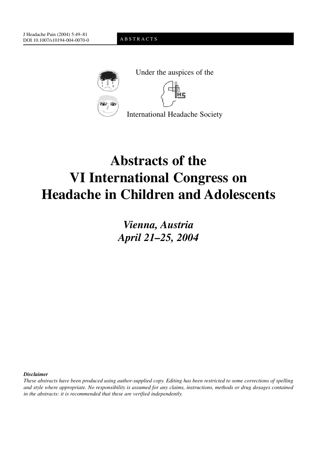

Under the auspices of the

International Headache Society

# **Abstracts of the VI International Congress on Headache in Children and Adolescents**

*Vienna, Austria April 21–25, 2004*

*Disclaimer*

*These abstracts have been produced using author-supplied copy. Editing has been restricted to some corrections of spelling and style where appropriate. No responsibility is assumed for any claims, instructions, methods or drug dosages contained in the abstracts: it is recommended that these are verified independently.*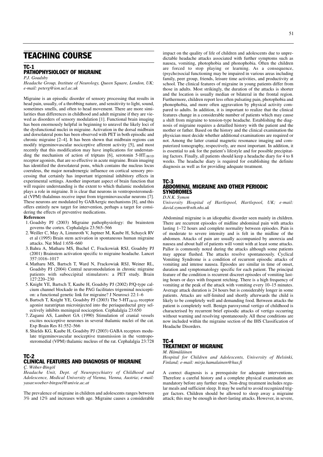# TEACHING COURSE

# TC-1

# PATHOPHYSIOLOGY OF MIGRAINE

*P.J. Goadsby*

*Headache Group, Institute of Neurology, Queen Square, London, UK; e-mail: peterg@ion.ucl.ac.uk*

Migraine is an episodic disorder of sensory processing that results in head pain, usually, of a throbbing nature, and sensitivity to light, sound, sometimes smells, and often to head movement. There are more similarities than differences in childhood and adult migraine if they are viewed as disorders of sensory modulation [1]. Functional brain imaging has been enormously helpful in beginning to unravel the likely loci of the dysfunctional nuclei in migraine. Activation in the dorsal midbrain and dorsolateral pons has been observed with PET in both episodic and chronic migraine [2–4]. It has been shown that midbrain regions can modify trigeminovascular nociceptive afferent activity [5], and most recently that this modification may have implications for understanding the mechanism of action of triptans [6], serotonin  $5-HT_{1B/1D}$ receptor agonists, that are so effective in acute migraine. Brain imaging has identified the dorsolateral pons, which contains the nucleus locus coeruleus, the major noradrenergic influence on cortical sensory processing that certainly has important trigeminal inhibitory effects in experimental settings. Another important aspect of brain function that will require understanding is the extent to which thalamic modulation plays a role in migraine. It is clear that neurons in ventroposteromedial (VPM) thalalmus receive input from trigeminovascular neurons [7]. These neurons are modulated by GABAergic mechanisms [8], and this offers entirely new target for intervention, perhaps a target for considering the effects of preventive medications.

#### **References**

- 1. Goadsby PJ (2003) Migraine pathophysiology: the brainstem governs the cortex. Cephalalgia 23:565–566
- 2. Weiller C, May A, Limmroth V, Juptner M, Kaube H, Schayck RV et al (1995) Brain stem activation in spontaneous human migraine attacks. Nat Med 1:658–660
- 3. Bahra A, Matharu MS, Buchel C, Frackowiak RSJ, Goadsby PJ (2001) Brainstem activation specific to migraine headache. Lancet 357:1016–1017
- 4. Matharu MS, Bartsch T, Ward N, Frackowiak RSJ, Weiner RL, Goadsby PJ (2004) Central neuromodulation in chronic migraine patients with suboccipital stimulators: a PET study. Brain  $127:220 - 230$
- 5. Knight YE, Bartsch T, Kaube H, Goadsby PJ (2002) P/Q-type calcium channel blockade in the PAG facilitates trigeminal nociception: a functional genetic link for migraine? J Neurosci 22:1–6
- 6. Bartsch T, Knight YE, Goadsby PJ (2003) The 5-HT1B/1D receptor agonist naratriptan microinjected into the periaqueductal grey selectively inhibits meningeal nociception. Cephalalgia 23:650
- 7. Zagami AS, Lambert GA (1990) Stimulation of cranial vessels excites nociceptive neurones in several thalamic nuclei of the cat. Exp Brain Res 81:552–566
- 8. Shields KG, Kaube H, Goadsby PJ (2003) GABA receptors modulate trigeminovascular nociceptive transmission in the ventroposteromedial (VPM) thalamic nucleus of the rat. Cephalalgia 23:728

#### TC-2 CLINICAL FEATURES AND DIAGNOSIS OF MIGRAINE *Ç. Wöber-Bingöl*

*Headache Unit, Dept. of Neuropsychiatry of Childhood and Adolescence, Medical University of Vienna, Vienna, Austria*; *e-mail: yasar.woeber-bingoel@univie.ac.at*

The prevalence of migraine in children and adolescents ranges between 3% and 12% and increases with age. Migraine causes a considerable impact on the quality of life of children and adolescents due to unpredictable headache attacks associated with further symptoms such as nausea, vomiting, photophobia and phonophobia. Often the children are forced to stop playing or learning. As a consequence, (psycho)social functioning may be impaired in various areas including family, peer group, friends, leisure time activities, and productivity at school. The clinical features of migraine in young patients differ from those in adults. Most strikingly, the duration of the attacks is shorter and the location is usually median or bilateral in the frontal region. Furthermore, children report less often pulsating pain, photophobia and phonophobia, and more often aggravation by physical activity compared to adults. In addition, it is important to realize that the clinical features change in a considerable number of patients which may cause a shift from migraine to tension-type headache. Establishing the diagnosis of migraine requires a detailled history with the patient and the mother or father. Based on the history and the clinical examination the physician must decide whether additional examinations are required or not. Among the latter cranial magnetic resonance imaging and computerized tomography, respectively, are most important. In addition, it is essential to ask for the patient's lifestyle and for possible precipitating factors. Finally, all patients should keep a headache diary for 4 to 8 weeks. The headache diary is required for establishing the definite diagnosis as well as for providing adequate treatment.

#### TC-3 ABDOMINAL MIGRAINE AND OTHER PERIODIC SYNDROMES

*D.N.K. Symon*

*University Hospital of Hartlepool, Hartlepool, UK; e-mail: david.symon@nth.nhs.uk*

Abdominal migraine is an idiopathic disorder seen mainly in children. There are recurrent episodes of midline abdominal pain with attacks lasting 1–72 hours and complete normality between episodes. Pain is of moderate to severe intensity and is felt in the midline of the abdomen. Attacks of pain are usually accompanied by anorexia and nausea and about half of patients will vomit with at least some attacks. Pallor is commonly noted during the attacks although some patients may appear flushed. The attacks resolve spontaneously. Cyclical Vomiting Syndrome is a condition of recurrent episodic attacks of vomiting and intense nausea. Episodes are similar in time of onset, duration and symptomatology specific for each patient. The principal feature of the condition is recurrent discreet episodes of vomiting lasting hours or days with frequent retching. There is a high frequency of vomiting at the peak of the attack with vomiting every 10–15 minutes. Average attack duration is 24 hours but is considerably longer in some patients. Attacks are self-limited and shortly afterwards the child is likely to be completely well and demanding food. Between attacks the patient is completely well. Benign paroxysmal vertigo of childhood is characterised by recurrent brief episodic attacks of vertigo occurring without warning and resolving spontaneously. All these conditions are now included within the migraine section of the IHS Classification of Headache Disorders.

# TC-4 TREATMENT OF MIGRAINE

*M. Hämäläinen*

*Hospital for Children and Adolescents, University of Helsinki, Finland; e-mail: mirja.hamalainen@hus.fi*

A correct diagnosis is a prerequisite for adequate interventions. Therefore a careful history and a complete physical examination are mandatory before any further steps. Non-drug treatment includes regular meals and sufficient sleep. It may be useful to avoid recognized trigger factors. Children should be allowed to sleep away a migraine attack; this may be enough in short-lasting attacks. However, in severe,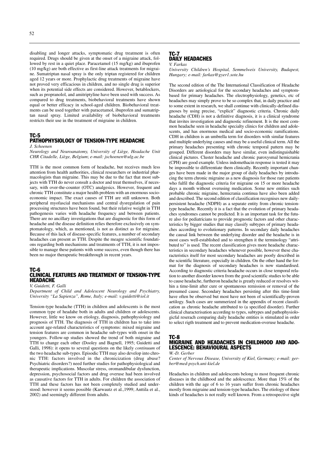disabling and longer attacks, symptomatic drug treatment is often required. Drugs should be given at the onset of a migraine attack, followed by rest in a quiet place. Paracetamol (15 mg/kg) and ibuprofen (10 mg/kg) are both effective as first-line attack treatments for migraine. Sumatriptan nasal spray is the only triptan registered for children aged 12 years or more. Prophylactic drug treatments of migraine have not proved very efficacious in children, and no single drug is superior when its potential side effects are considered. However, betablockers, such as propranolol, and amitriptyline have been used with success. As compared to drug treatments, biobehavioral treatments have shown equal or better efficacy in school-aged children. Biobehavioral treatments can be used together with paracetamol, ibuprofen and sumatriptan nasal spray. Limited availability of biobehavioral treatments restricts their use in the treatment of migraine in children.

# TC-5 PATHOPHYSIOLOGY OF TENSION-TYPE HEADACHE

#### *J. Schoenen*

*Neurology and Neuroanatomy, University of Liège, Headache Unit CHR Citadelle, Liège, Belgium*; *e-mail: jschoenen@ulg.ac.be*

TTH is the most common form of headache, but receives much less attention from health authorities, clinical researchers or industrial pharmacologists than migraine. This may be due to the fact that most subjects with TTH do never consult a doctor and treat themselves, if necessary, with over-the-counter (OTC) analgesics. However, frequent and chronic TTH constitute a major health problem with an enormous socioeconomic impact. The exact causes of TTH are still unknown. Both peripheral myofascial mechanisms and central dysregulation of pain processing structures have been found, but their relative weight in TTH pathogenesis varies with headache frequency and between patients. There are no ancillary investigations that are diagnostic for this form of headache and the disease definition relies therefore exclusively on symptomatology, which, as mentioned, is not as distinct as for migraine. Because of this lack of disease-specific features, a number of secondary headaches can present as TTH. Despite the meagre scientific foundations regarding both mechanisms and treatments of TTH, it is not impossible to manage these patients with some success, even though there has been no major therapeutic breakthrough in recent years.

# TC-6

# CLINICAL FEATURES AND TREATMENT OF TENSION-TYPE **HEADACHE**

*V. Guidetti, F. Galli*

*Department of Child and Adolescent Neurology and Psychiatry, University "La Sapienza", Rome, Italy; e-mail: v.guidetti@iol.it*

Tension-type headache (TTH) in children and adolescents is the most common type of headahe both in adults and children or adolescents. However, little we know on etiology, diagnosis, pathophysiology and prognosis of TTH. The diagnosis of TTH in children has to take into account age-related characteristics of symptoms: mixed migraine and tension features are common in headache sub-types with onset in the youngers. Follow-up studies showed the trend of both migraine and TTH to change each other (Dooley and Bagnell, 1995; Guidetti and Galli, 1998): it opens to several questions on the likely *continuum* of the two headache sub-types. Episodic TTH may also develop into chronic TTH: factors involved in the chronicization (drug abuse? Psychiatric disorders?) need further studies for pathophysiological and therapeutic implications. Muscolar stress, oromandibular dysfunction, depression, psychosocial factors and drug overuse had been involved as causative factors for TTH in adults. For children the association of TTH and these factors has not been completely studied and understood: however it seems possible (Karwautz et al.,1999; Anttila et al., 2002) and seemingly different from adults.

# TC-7 DAILY HEADACHES

#### *V. Farkas*

*University Children's Hospital, Semmelweis University, Budapest, Hungary; e-mail: farkas@gyer1.sote.hu*

The second edition of the The International Classification of Headache Disorders are aetiological for the secondary headaches and symptombased for primary headaches. The electrophysiology, genetics, etc of headaches may simply prove to be so complex that, in daily practice and to some extent in research, we shall continue with clinically-defined diagnoses by using precise, "explicit" diagnostic criteria. Chronic daily headache (CDH) is not a definitive diagnosis, it is a clinical syndrome that invites investigation and diagnostic refinement. It is the most common headache seen in headache specialty clinics for children and adolescents, and has enormous medical and socio-economic ramifications. CDH in children is an umbrella term for disorders with similar features and multiple underlying causes and may be a useful clinical term. All the primary headaches presenting with chronic temporal pattern may be grouped. Different disorders may have similar, even indistinguishable clinical pictures. Cluster headache and chronic paroxysmal hemicrania (CPH) are good example. Unless indomethacin response is tested it may be impossible to differentiate them clinically. Recently important changes have been made in the major group of daily headaches by introducing the term chronic migraine as a new diagnosis for those rare patients who fulfil the diagnostic criteria for migraine on 15 or more headache days a month without overusing medication. Some new entities such probable chronic migraine, hemicrania continua have also been added and described. The second edition of classification recognises new dailypersistent headache (NDPH) as a separate entity from chronic tensiontype headache. Recently it is a fact that the evolution of primary headaches syndromes cannot be predicted. It is an important task for the future also for pediatricians to provide prognostic factors and other characteristics by bigger studies that may classify subtypes of primary headaches according to evolutionary patterns. In secondary daily headaches the causal link between the underlying disorder and the headache is in most cases well-established and to strengthen it the terminology "attributed to" is used. The recent classification gives more headache characteristics in secondary headaches whenever possible, however these characteristics itself for most secondary headaches are poorly described in the scientific literature, especially in children. On the other hand the format for the diagnosis of secondary headaches is now standardised. According to diagnostic criteria headache occurs in close temporal relation to another disorder known from the good scientific studies to be able to cause headache, furtheron headache is greatly reduced or resolves within a time-limit after cure or spontaneous remission or removal of the presumed cause. Secondary headaches persisting after this time-limit have often be observed but most have not been of scientifically-proven aetilogy. Such cases are summerized in the appendix of recent classification as chronic headache attributed to (a specified disorder). Further clinical characterisation according to types, subtypes and pathophysiologicfal reserach comparing daily headache entities is stimulated in order to select rigth treatment and to prevent medication-overuse headache.

# TC-8

# MIGRAINE AND HEADACHES IN CHILDHOOD AND ADO-LESCENCE: BEHAVIOURAL ASPECTS

*W.-D. Gerber*

*Center of Nervous Disease, University of Kiel, Germany; e-mail: gerber@med-psych.uni-kiel.de*

Headaches in children and adolescents belong to most frequent chronic diseases in the childhood and the adolescence. More than 15% of the children with the age of 6 to 16 years suffer from chronic headaches mostly from migraine and tension-type headaches. The etiology of these kinds of headaches is not really well known. From a retrospective sight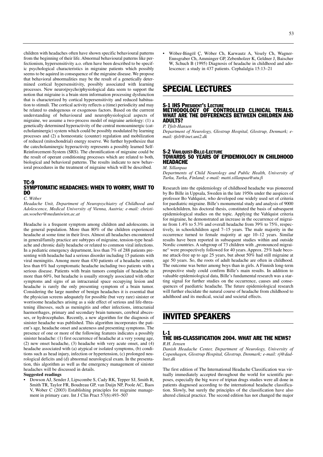children with headaches often have shown specific behavioural patterns from the beginning of their life. Abnormal behavioural patterns like perfectionism, hypersensitivity a.o. often have been described to be specific psychological characteristics in migraine patients which possibly seems to be aquired in consequence of the migraine disease. We propose that behavioral abnormalities may be the result of a genetically determined cortical hypersensitivity, possibly associated with learning processes. New neuro(psycho)physiological data seem to support the notion that migraine is a brain stem information processing dysfunction that is characterized by cortical hypersensitivity and reduced habituation to stimuli. The cortical activity reflects a (time) periodicity and may be related to endogenous or exogenous factors. Based on the currrent understanding of behavioural and neurophysiological aspects of migraine, we assume a two-process model of migraine aetiology: (1) a genetically determined hyperactivity of the central monoaminergic (catecholaminergic) system which could be possibly modulated by learning processes and (2) a homeostatic (counter) regulation and mobilization of reduced (mitochondrial) energy reserve. We further hypothesize that the catecholaminergic hyperactivity represents a possibly learned Self-Reinforcement-System (SRS). The chronification of migraine could be the result of operant conditioning processes which are related to both, biological and behavioral patterns. The results indicate to new behavioral procedures in the treatment of migraine which will be described.

### TC-9 SYMPTOMATIC HEADACHES: WHEN TO WORRY, WHAT TO **DO**

*C. Wöber*

*Headache Unit, Department of Neuropsychiatry of Childhood and Adolescence, Medical University of Vienna, Austria; e-mail: christian.woeber@meduniwien.ac.at*

Headache is a frequent symptom among children and adolescents. in the general population. More than 80% of the children experienced headache at some time in their lives. Almost all headaches encountered in general/family practice are subtypes of migraine, tension-type headache and chronic daily headache or related to common viral infections. In a pediatric emergency department, less than 7% of 288 patients presenting with headache had a serious disorder including 15 patients with viral meningitis. Among more than 430 patients of a headache center, less than 6% had symptomatic headache including two patients with a serious disease. Patients with brain tumors complain of headache in more than 60%, but headache is usually strongly associated with other symptoms and signs of an intracranial space occupying lesion and headache is rarely the only presenting symptom of a brain tumor. Considering the large number of benign headaches it is essential that the physician screens adequately for possible (but very rare) sinister or worrisome headaches arising as a side effect of serious and life-threatening illnesses, such as meningitis and other infections, intracranial haemorrhages, primary and secondary brain tumours, cerebral abscesses, or hydrocephalus. Recently, a new algorithm for the diagnosis of sinister headache was published. This algorithm incorporates the patient's age, headache onset and acuteness and presenting symptoms. The presence of one or more of the following features indicates a possibly sinister headache: (1) first occurrence of headache at a very young age, (2) new onset headache, (3) headache with very acute onset, and (4) headache associated with (a) atypical or isolated symptoms, (b) conditions such as head injury, infection or hypertension, (c) prolonged neurological deficits and (d) abnormal neurological exam. In the presentation, this algorithm as well as the emergency management of sinister headaches will be discussed in details.

#### **Suggested readings**

• Dowson AJ, Sender J, Lipscombe S, Cady RK, Tepper SJ, Smith R, Smith TR, Taylor FR, Boudreau GP, van Duijn NP, Poole AC, Baos V, Wober C (2003) Establishing principles for migraine management in primary care. Int J Clin Pract 57(6):493–507

• Wöber-Bingöl Ç, Wöber Ch, Karwautz A, Vesely Ch, Wagner-Ennsgraber Ch, Amminger GP, Zebenholzer K, Geldner J, Baischer W, Schuch B (1995) Diagnosis of headache in childhood and adolescence: a study in 437 patients. Cephalalgia 15:13–21

# SPECIAL LECTURES

# S-1 IHS PRESIDENT'S LECTURE

# METHODOLOGY OF CONTROLLED CLINICAL TRIALS. WHAT ARE THE DIFFERENCES BETWEEN CHILDREN AND ADULTS?

#### *P. Tfelt-Hansen*

*Department of Neurology, Glostrup Hospital, Glostrup, Denmark; email: tfelt@inet.uni2.dk*

#### S-2 VAHLQUIST-BILLE-LECTURE TOWARDS 50 YEARS OF EPIDEMIOLOGY IN CHILDHOOD HEADACHE

*M. Sillanpaa*

*Departments of Child Neurology and Public Health, University of Turku, Turku, Finland; e-mail: matti.sillanpaa@utu.fi*

Research into the epidemiology of childhood headache was pioneered by Bo Bille in Uppsala, Sweden in the late 1950s under the auspices of professor Bo Vahlquist, who developed one widely used set of criteria for paediatric migraine. Bille's monumental study and analysis of 9000 schoolchildren, his doctoral thesis, constituted the basis of subsequent epidemiological studies on the topic. Applying the Vahlquist criteria for migraine, he demonstrated an increase in the occurrence of migraine from 1.4% to 5.3% and overall headache from 39% to 75%, respectively, in schoolchildren aged 7–15 years. The male majority in the occurrence turned to female majority at age 10–12 years. Similar results have been reported in subsequent studies within and outside Nordic countries. A subgroup of 73 children with "pronounced migraine" were prospectively followed for 40 years. Approx. 25% hade become attack-free up to age 25 years, but about 50% had still migraine at age 50 years. So, the roots of adult headache are often in childhood. The outcome was better among boys than in girls. A Finnish long-term prospective study could confirm Bille's main results. In addition to valuable epidemiological data, Bille's fundamental research was a starting signal for further studies on the occurrence, causes and consequences of paediatric headache. The future epidemiological research will further elucidate the natural course of headache from childhood to adulthood and its medical, social and societal effects.

# INVITED SPEAKERS

#### L-1 THE IHS-CLASSIFICATION 2004. WHAT ARE THE NEWS? *R.H. Jensen*

*Danish Headache Center, Department of Neurology, University of Copenhagen, Glostrup Hospital, Glostrup, Denmark; e-mail: rj@dadlnet.dk*

The first edition of The International Headache Classification was virtually immediately accepted throughout the world for scientific purposes, especially the big wave of triptan drugs studies were all done in patients diagnosed according to the international headache classification. Slowly, but surely the principles of the classification have also altered clinical practice. The second edition has not changed the major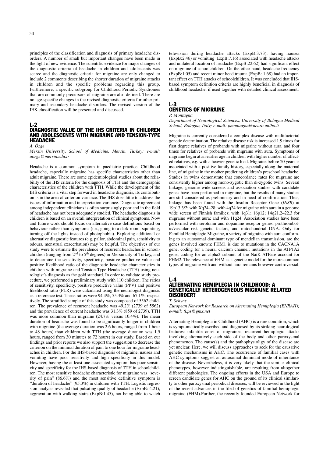principles of the classification and diagnosis of primary headache disorders. A number of small but important changes have been made in the light of new evidence. The scientific evidence for major changes of the diagnostic criteria of headache in children and adolescents was scarce and the diagnostic criteria for migraine are only changed to include 2 comments describing the shorter duration of migraine attacks in children and the specific problems regarding this group. Furthermore, a specific subgroup for Childhood Periodic Syndromes that are commonly precursors of migraine are also defined. There are no age-specific changes in the revised diagnostic criteria for other primary and secondary headache disorders. The revised version of the IHS-classification will be presented and discussed.

# L-2

# DIAGNOSTIC VALUE OF THE IHS CRITERIA IN CHILDREN AND ADOLESCENTS WITH MIGRAINE AND TENSION-TYPE **HEADACHE**

#### *A. Özge*

*Mersin University, School of Medicine, Mersin, Turkey; e-mail: aozge@mersin.edu.tr*

Headache is a common symptom in paediatric practice. Childhood headache, especially migraine has specific characteristics other than adult migraine. There are some epidemiological studies about the reliability of the IHS criteria for the diagnosis of TTH and the demographic characteristics of the children with TTH. While the development of the IHS criteria is a vital step forward in headache diagnosis, its contribution is in the area of criterion variance. The IHS does little to address the issues of information and interpretation variance. Diagnostic agreement among independent clinicians is often surprisingly poor and in the field of headache has not been adequately studied. The headache diagnosis in children is based on an overall interpretation of clinical symptoms. Now and future work should focus on alternative case definitions based on behaviour rather than symptoms (i.e., going to a dark room, squinting, turning off the lights instead of photophobia). Exploring additional or alternative diagnostic features (e.g. pallor, abdominal pain, sensitivity to odours, menstrual exacerbation) may be helpful. The objectives of our study were to estimate the prevalence of recurrent headaches in schoolchildren (ranging from  $2<sup>nd</sup>$  to  $5<sup>th</sup>$  degrees) in Mersin city of Turkey, and to determine the sensitivity, specificity, positive predictive value and positive likelihood ratio of the diagnostic headache characteristics in children with migraine and Tension Type Headache (TTH) using neurologist's diagnosis as the gold standard. In order to validate study procedure, we performed a preliminary study with 110 children. The ratios of sensitivity, specificity, positive predictive value (PPV) and positive likelihood ratio (PLR) were calculated using the neurologist diagnosis as a reference test. These ratios were 94.4%, 55.3% and 67.1%, respectively. The stratified sample of this study was composed of 5562 children. The prevalence of recurrent headache was 49.2% (2739 of 5562) and the prevalence of current headache was 31.3% (859 of 2739). TTH was more common than migraine (24.7% versus 10.4%). The mean duration of headache was found to be significantly longer in children with migraine (the average duration was 2.6 hours, ranged from 1 hour to 48 hours) than children with TTH (the average duration was 1.9 hours, ranged from 30 minutes to 72 hours) in our study. Based on our findings and prior reports we also support the suggestion to decrease the criterion on the minimal duration of pain to one hour for migraine headaches in children. For the IHS-based diagnosis of migraine, nausea and vomiting have poor sensitivity and high specificity in this model. However, having the at least one associated symptom has poor sensitivity and specificity for the IHS-based diagnosis of TTH in schoolchildren. The most sensitive headache characteristic for migraine was "severity of pain" (86.6%) and the most sensitive definitive symptom is "duration of headache" (95.3%) in children with TTH. Logistic regression analysis revealed that pulsating quality of headache (ExpB: 4.21), aggravation with walking stairs (ExpB:1.45), not being able to watch television during headache attacks (ExpB:3.73), having nausea (ExpB:2.46) or vomiting (ExpB:7.16) associated with headache attacks and unilateral location of headache (ExpB:22.62) had significant effect on migraine of schoolchildren. On the other hand, headache frequency (ExpB:1.05) and recent minor head trauma (ExpB: 1.68) had an important effect on TTH attacks of schoolchildren. It was concluded that IHSbased symptom definition criteria are highly beneficial in diagnosis of childhood headache, if used together with detailed clinical assessment.

# L-3 GENETICS OF MIGRAINE

*P. Montagna*

*Department of Neurological Sciences, University of Bologna Medical School, Bologna, Italy; e-mail: pmontagna@neuro.unibo.it*

Migraine is currently considered a complex disease with multifactorial genetic determination. The relative disease risk is increased 1.9 times for first degree relatives of probands with migraine without aura, and four times for relatives of probands with migraine with aura. Symptoms of migraine begin at an earlier age in children with higher number of affected relatives, e.g. with a heavier genetic load. Migraine before 20 years is associated with a positive family history, especially along the maternal line, of migraine in the mother predicting children's preschool headache. Studies in twins demonstrate that concordance rates for migraine are consistently higher among mono-zygotic than di-zygotic twins. Several linkage, genome wide screens and association studies with candidate genes have been performed in migraine, but the results of many studies are still considered as preliminary and in need of confirmation. Thus, linkage has been found with the Insulin Receptor Gene (*INSR*) at 19p13.3/2; with Xq24–28; with 4q24 for migraine with aura in a genome wide screen of Finnish families; with 1q31; 16p12; 14q21.2–22.3 for migraine without aura; and with 11q24. Association studies have been performed with serotonin and dopamine receptor genes, prothrombotic/vascular risk genetic factors, and mitochondrial DNA. Only for Familial Hemiplegic Migraine, a variety of migraine with aura conforming to an autosomal dominant type of mendelian transmission, are the genes involved known: FHM1 is due to mutations in the CACNA1A gene, coding for a neural calcium channel; mutations in the ATP1A2 gene, coding for an alpha2 subunit of the Na/K ATPase account for FHM2. The relevance of FHM as a genetic model for the more common types of migraine with and without aura remains however controversial.

#### L-4 ALTERNATING HEMIPLEGIA IN CHILDHOOD: A GENETICALLY HETEROGENEOUS MIGRAINE RELATED DISORDER?

*T. Schyns*

*European Network for Research on Alternating Hemiplegia (ENRAH); e-mail: tl.ps@gmx.net*

Alternating Hemiplegia in Childhood (AHC) is a rare condition, which is symptomatically ascribed and diagnosed by its striking neurological features: infantile onset of migraines, recurrent hemiplegic attacks involving alternatively each side of the body and other paroxysmal phenomenon. The cause(s) and the pathophysioligy of the disease are yet unclear. Here, we will discuss approaches to seek for the causative genetic mechanisms in AHC. The occurrence of familial cases with AHC symptoms suggest an autosomal dominant mode of inheritance of the disease. Nevertheless, it is very likely that the similar clinical phenotypes, however indistinguishable, are resulting from altogether different pathologies. The ongoing efforts in the USA and Europe to screen candidate genes for AHC on the ground of its clinical similarity to other paroxysmal periodical diseases, will be reviewed in the light of the recent advances in the filed of genetics of familial hemiplegic migraine (FHM).Further, the recently founded European Network for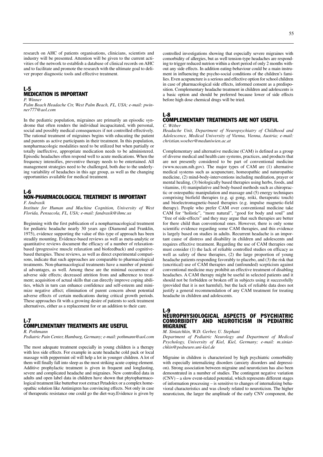research on AHC of patients organisations, clinicians, scientists and industry will be presented. Attention will be given to the current activities of the network to establish a database of clinical records on AHC and to facilitate and promote the research with the ultimate goal to deliver proper diagnostic tools and effective treatment.

#### L-5 MEDICATION IS IMPORTANT *P. Winner*

*Palm Beach Headache Ctr, West Palm Beach, FL, USA; e-mail: pwinner777@aol.com*

In the pediatric population, migraines are primarily an episodic syndrome that often renders the individual incapacitated, with personal, social and possibly medical consequences if not controlled effectively. The rational treatment of migraines begins with educating the patient and parents as active participants in their treatment. In this population, nonpharmacologic modalities need to be utilized but when partially or totally ineffective, appropriate medication needs to be administered. Episodic headaches often respond well to acute medications. When the frequency intensifies, preventive therapy needs to be entertained. All management strategies need to be challenged, both due to the underlying variability of headaches in this age group, as well as the changing opportunities available for medical treatment.

# L-6

### NON-PHARMACOLOGICAL TREATMENT IS IMPORTANT *F. Andrasik*

*Institute for Human and Machine Cognition, University of West Florida, Pensacola, FL, USA; e-mail: fandrasik@ihmc.us*

Beginning with the first publication of a nonpharmacological treatment for pediatric headache nearly 30 years ago (Diamond and Franklin, 1975), evidence supporting the value of this type of approach has been steadily mounting. Evidence-based reviews as well as meta-analytic or quantitative reviews document the efficacy of a number of relaxationbased (progressive muscle relaxation and biofeedback) and cognitivebased therapies. These reviews, as well as direct experimental comparisons, indicate that such approaches are comparable to pharmacological treatments. Non-pharmacological treatments have a number of potential advantages, as well. Among these are the minimal occurrence of adverse side effects; decreased attrition from and adherence to treatment; acquisition of actual skills that can directly improve coping abilities, which in turn can enhance confidence and self-esteem and minimize negative affect; elimination of parent concern about potential adverse effects of certain medications during critical growth periods. These approaches fit with a growing desire of patients to seek treatment alternatives, either as a replacement for or an addition to their care.

# L-7 COMPLEMENTARY TREATMENTS ARE USEFUL

*R. Pothmann Pediatric Pain Center, Hamburg, Germany; e-mail: pothmann@aol.com*

The most adequate treatment especially in young children is a therapy with less side effects. For example in acute headache cold pack or local massage with peppermint oil will help a lot in younger children. A lot of them will finally fall into sleep as the most striking acute coping element. Additive prophylactic treatment is given in frequent and longlasting. severe and complicated headache and migraines. New controlled data in adults and open label data in children have shown that phytopharmacological treatment like butterbur root extract Petadolex or a complex homeopathic solution like Antimigren has convincing effects. Not only in case of therapeutic resistance one could go the diet-way.Evidence is given by

controlled investigations showing that especially severe migraines with comorbidity of allergies, but as well tension-type headaches are responding to trigger reduced nutrion within a short period of only 2 months without any side effects. In addition eating-behaviour could be a main instrument in influencing the psycho-social conditions of the children's families. Even acupuncture is a serious and effective option for school children in case of pharmacological side effects, informed consent as a predisposition. Complementary headache treatment in children and adolescents is a basic option and should be preferred because lower of side effects before high dose chemical drugs will be tried.

### L-8 COMPLEMENTARY TREATMENTS ARE NOT USEFUL *C. Wöber*

*Headache Unit, Department of Neuropsychiatry of Childhood and Adolescence, Medical University of Vienna, Vienna, Austria; e-mail: christian.woeber@meduniwien.ac.at*

Complementary and alternative medicine (CAM) is defined as a group of diverse medical and health care systems, practices, and products that are not presently considered to be part of conventional medicine (www.nccam.nih.gov). The major types of CAM are (1) alternative medical systems such as acupuncture, homeopathic and naturopathic medicine, (2) mind-body-interventions including meditation, prayer or mental healing, (3) biologically based therapies using herbs, foods, and vitamins, (4) manipulative and body-based methods such as chiropractic or osteopathic manipulation and massage and (5) energy techniques comprising biofield therapies (e.g. qi gong, reiki, therapeutic touch) and bioelectromagnetic-based therapies (e.g. impulse magnetic-field therapy). People who prefer CAM over conventional medicine take CAM for "holistic", "more natural", "good for body and soul" and "free of side-effects" and they may argue that such therapies are better for there child than conventional ones. However, there is only some scientific evidence regarding some CAM therapies, and this evidence is largely based on studies in adults. Recurrent headache is an important cause of distress and disability in children and adolescents and requires effective treatment. Regarding the use of CAM therapies one must consider (1) the lack of reliable controlled studies on efficacy as well as safety of these therapies, (2) the large proportion of young headache patients responding favorably to placebo, and (3) the risk that (uncritical) use of CAM therapies and (unfounded) scepticism against conventional medicine may prohibit an effective treatment of disabling headaches. A CAM therapy might be useful in selected patients and it should not be forbidden or broken off in subjects using it successfully (provided that it is not harmful), but the lack of reliable data does not justify a general recommendation of any CAM treatment for treating headache in children and adolescents.

# L-9 NEUROPHYSIOLOGICAL ASPECTS OF PSYCHIATRIC COMORBIDITY AND NEUROTICISM IN PEDIATRIC MIGRAINE

*M. Siniatchkin, W.D. Gerber, U. Stephani*

*Department of Pediatric Neurology and Department of Medical Psychology, University of Kiel, Kiel, Germany; e-mail: m.siniatchkin@pedneuro.uni-kiel.de*

Migraine in children is characterized by high psychiatric comorbidity with especially internalizing disorders (anxiety disorders and depression). Strong association between migraine and neuroticism has also been demosntrated in a number of studies. The contingent negative variation (CNV) – a slow event-related potential, which represents different stages of information processing – is sensitive to changes of internalizing behavioral characteristics and was closely related to neuroticism. The higher neuroticism, the larger the amplitude of the early CNV component, the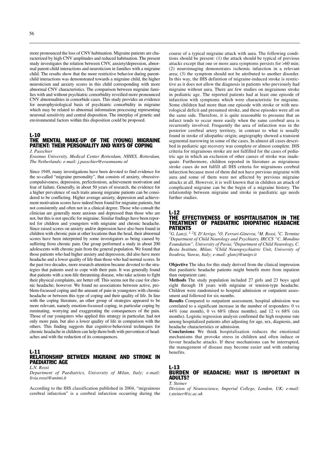more pronounced the loss of CNV habituation. Migraine patients are characterized by high CNV amplitudes and reduced habituation. The present study investigates the relation between CNV, anxiety/depression, abnormal parent-child interactions and neuroticism in families with a migraine child. The results show that the more restrictive behavior during parentchild interactions was demonstrated towards a migraine child, the higher neuroticism and anxiety scores in this child corresponding with more abnormal CNV characteristics. The comparison between migraine families with and without psychiatric comorbidity reveilied more pronounced CNV abnormalities in comorbide cases. This study provides an evidence for neurophysiological basis of psychiatric comorbidity in migraine which may be related to abnormal information processing representing neuronal sensitivity and central disposition. The interplay of genetic and environmental factors within this disposition could be proposed.

# L-10

#### THE MENTAL MAKE-UP OF THE (YOUNG) MIGRAINE PATIENT: THEIR PERSONALITY AND WAYS OF COPING *J. Passchier*

*Erasmus University, Medical Center Rotterdam, NIHES, Rotterdam, The Netherlands; e-mail: j.passchier@erasmusmc.nl*

Since 1949, many investigations have been devoted to find evidence for the so-called "migraine personality", that consists of anxiety, obsessivecompulsiveness, depression, perfectionism, achievement motivation and fear of failure. Generally, in about 50 years of research, the evidence for a higher prevalence of such traits among migraine patients can be considered to be conflicting. Higher average anxiety, depression and achievement motivation scores have indeed been found for migraine patients, but not consistently and often not in a clinical degree. Those who consult the clinician are generally more anxious and depressed than those who are not, but this is not specific for migraine. Similar findings have been reported for children and youngsters with migraine and chronic headache. Since raised scores on anxiety and/or depression have also been found in children with chronic pain at other locations than the head, their abnormal scores have been interpreted by some investigators as being caused by suffering from chronic pain. Our group performed a study in about 200 adolescents with chronic pain from the general population. We found that those patients who had higher anxiety and depression, did also have more headache and a lower quality of life than those who had normal scores. In the past two decades, more research attention became devoted to the strategies that patients used to cope with their pain. It was generally found that patients with a non-life threatening disease, who take actions to fight their physical complaints, are better off. This seems not the case for chronic headache; however. We found no associations between active, problem-focussed coping and the amount of pain in youngsters with chronic headache or between this type of coping and their quality of life. In line with the coping literature, an other group of strategies appeared to be more relevant, namely emotion-focussed coping, in particular coping by ruminating, worrying and exaggerating the consequences of the pain. Those of our youngsters who applied this strategy in particular, had not only more pain, but also a lower quality of life in comparison with the others. This finding suggests that cognitive-behavioral techniques for chronic headache in children can help them both with prevention of headaches and with the reduction of its consequences.

#### L-11 RELATIONSHIP BETWEEN MIGRAINE AND STROKE IN PAEDIATRIC AGE *L.N. Rossi*

*Department of Paediatrics, University of Milan, Italy; e-mail: livia.rossi@unimi.it*

According to the IHS classification published in 2004, "migrainous cerebral infarction" is a cerebral infarction occurring during the course of a typical migraine attack with aura. The following conditions should be present: (1) the attack should be typical of previous attacks except that one or more aura symptoms persists for >60 min; (2) neuroimaging demonstrates ischemic infarction in a relevant area; (3) the symptom should not be attributed to another disorder. In this way, the IHS definition of migraine-induced stroke is restrictive as it does not allow the diagnosis in patients who previously had migraine without aura. There are few studies on migrainous stroke in pediatric age. The reported patients had at least one episode of infarction with symptoms which were characteristic for migraine. Some children had more than one episode with stroke or with neurological deficit and presumed stroke, and these episodes were all on the same side. Therefore, it is quite reasonable to presume that an infarct tends to occur more easily when the same cerebral area is recurrently involved. Frequently the area of infarction was in the posterior cerebral artery territory, in contrast to what is usually found in stroke of idiopathic origin; angiography showed a transient segmental narrowing in some of the cases. In almost all cases described in pediatric age recovery was complete or almost complete. IHS criteria for migrainous stroke are not fulfilled for the cases of pediatric age in which an exclusion of other causes of stroke was inadequate. Furthermore, children reported in literature as migrainous stroke cases do not fulfill all IHS criteria for migrainous cerebral infarction because most of them did not have previous migraine with aura and some of them were not affected by previous migraine attacks at all. However, it is well known that in children an attack of complicated migraine can be the begin of a migraine history. The relationship between migraine and stroke in paediatric age needs further studies.

# L-12

# THE EFFECTIVENESS OF HOSPITALISATION IN THE TREATMENT OF PAEDIATRIC IDIOPATHIC HEADACHE PATIENTS

*1G. Lanzi, 1, 2S. D'Arrigo, 1O. Ferrari-Ginevra, 1M. Rossi, 3C. Termine 1Department of Child Neurology and Psychiatry, IRCCS "C. Mondino Foundation", University of Pavia; 2Department of Child Neurology, C. Besta Institute, Milan; 3Child Neuropsychiatric Unit, University of Insubria, Varese, Italy; e-mail: glanzi@unipv.it*

**Objective** The idea for this study derived from the clinical impression that paediatric headache patients might benefit more from inpatient than outpatient care.

**Methods** The study population included 27 girls and 23 boys aged eight through 18 years with migraine or tension-type headache. Children were randomised to hospital admission or outpatient assessment and followed for six months.

**Results** Compared to outpatient assessment, hospital admission was correlated to a significant increase in the number of responders: 0 vs 44% (one month), 0 vs  $68\%$  (three months), and 12 vs  $68\%$  (six months). Logistic regression analysis confirmed the high response rate among hospitalized patients after adjusting for age, sex, diagnosis, and headache characteristics or admission.

**Conclusions** We think hospitalisation reduces the emotional mechanisms that provoke stress in children and often induce or favour headache attacks. If these mechanisms can be interrupted, the management of disease may become easier and with enduring benefits.

# L-13 BURDEN OF HEADACHE: WHAT IS IMPORTANT IN ADULTS?

*T. Steiner*

*Division of Neuroscience, Imperial College, London, UK; e-mail: t.steiner@ic.ac.uk*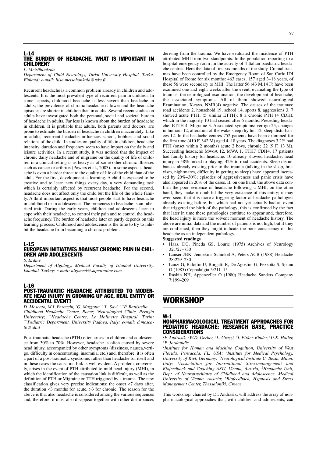# L-14 THE BURDEN OF HEADACHE. WHAT IS IMPORTANT IN CHILDREN?

*L. Metsähonkala*

*Department of Child Neurology, Turku University Hospital, Turku, Finland; e-mail: liisa.metsahonkala@tyks.fi*

Recurrent headache is a common problem already in children and adolescents. It is the most prevalent type of recurrent pain in children. In some aspects, childhood headache is less severe than headache in adults; the prevalence of chronic headache is lower and the headache episodes are shorter in children than in adults. Several recent studies on adults have investigated both the personal, social and societal burden of headache in adults. Far less is known about the burden of headache in children. It is probable that adults, both parents and doctors, are prone to estimate the burden of headache in children inaccurately. Like in adults, recurrent headache influences school, hobbies and social relations of the child. In studies on quality of life in children, headache intensity, duration and frequency seem to have impact on the daily and leisure activities. In a recent study, it was noticed that the impact of chronic daily headache and of migraine on the quality of life of children in a clinical setting is as heavy as of some other chronic illnesses such as cancer or arthritis (Powers et al., 2003). In some aspects, headache is even a harder threat to the quality of life of the child than of the adult. For the first, development is learning. A child is expected to be creative and to learn new things every day, a very demanding task which is certainly affected by recurrent headache. For the second, headache does not affect only the child but the life of the whole family. A third important aspect is that most people start to have headache in childhood or in adolescence. The proneness to headache is an inherited trait. During the early years, children and adolescents learn to cope with their headache, to control their pain and to control the headache frequency. The burden of headache later on partly depends on this learning process. Childhood and adolescence is the time to try to inhibit the headache from becoming a chronic problem.

# L-15 EUROPEAN INITIATIVES AGAINST CHRONIC PAIN IN CHIL-DREN AND ADOLESCENTS

*S. Erdine*

*Department of Algology, Medical Faculty of Istanbul University, Istanbul, Turkey; e-mail: algomed@superonline.com*

# L-16

# POST-TRAUMATIC HEADACHE ATTRIBUTED TO MODER-ATE HEAD INJURY IN GROWING UP AGE, REAL ENTITY OR ACCIDENTAL EVENT?

*D. Moscato, M.I. Peracchi, ° G. Mazzotta, °°L. Savi, °°°P. Battistella Childhood Headache Centre, Rome; ° Neurological Clinic, Perugia University; °°Headache Centre, Le Molinette Hospital, Turin; °°°Pediatric Department, University Padova, Italy; e-mail: d.moscato@idi.it*

Post-traumatic headache (PTH) often arises in children and adolescence from 30% to 70%. However, headache is often caused by severe head injury, accompanied by other symptoms (dizziness, nausea,vertigo, difficulty in concentrating, insomnia, etc.) and, therefore, it is often a part of a post-traumatic syndrome, rather than headache for itself and in these cases the causation link is well evident. A problem, conversely, arises in the event of PTH attributed to mild head injury (MHI), in which the identification of the causation link is difficult, as well as the definition of PTH or Migraine or TTH triggered by a trauma. The new classification gives very precise indications: the onset <7 days after, the duration <3 months for acute, >3 for chronic. The reason for the above is that also headache is considered among the various sequences and, therefore, it must also disappear together with other disturbances

deriving from the trauma. We have evaluated the incidence of PTH attributed MHI from two standpoints. In the population reporting to a hospital emergency room ,in the activity of 4 Italian paediatric headache centres. Here the data of first six months of the study. Cranial traumas have been controlled by the Emergency Room of San Carlo IDI Hospital of Rome for six months: 463 cases, 157 aged 3–18 years, of these 56 were secondary to MHI. The latter 56 (43 M,14 F) have been examined one and eight weeks after the event, evaluating the type of traumas, the neurological examination, the development of headache, the associated symptoms. All of them showed neurological Examination, X-rays, NMR(4) negative. The causes of the traumas: road accidents 2, household 19, school 14, sports 8, aggressions 3. 7 showed acute PTH, (5 similar ETTH); 8 a chronic PTH (4 CDH), which in the majority 10 had ceased after 6 months. Preceding headache: ETTH 4. Migraine 3. Associated symptoms: vertigo 25, changes in humour 12, alteration of the wake sleep rhythm 12, sleep disturbances 12. In the headache centres 752 patients have been examined for the first time (410 F, 342 M) aged 4–18 years. The diagnoses 3.2% had PTH (onset within 2 months) acute 2 boys, chronic 22 (9 F, 13 M). Succeeding headache MwoA 12, MWA 1, TTH7 CDH4. 17 patients had family history for headache. 10 already showed headache; head injury in 58% linked to playing, 42% to road accidents. Sleep disturbances already existing prior to the trauma (talking in the sleep, bruxism, nightmares, difficulty in getting to sleep) have appeared increased by 20%–30%; episodes of aggressiveness and panic crisis have also appeared in 20% of the cases. If, on one hand, the above data confirm the poor evidence of headache following a MHI, on the other hand, they make it doubtful the very existence of this entity; it may even seem that it is more a triggering factor of headache pathologies already existing before, but which had not yet actually had an event that triggered the birth of the pathology; this is confirmed by the fact that later in time these pathologies continue to appear and, therefore, the head injury is more the solvent moment of headache history. The above are initial data and the number of patients is not high, but if they are confirmed, then they might indicate the poor consistency of this headache as an independent pathology. **Suggested readings**

#### • Haas, DC, Pineda GS, Lourie (1975) Archives of Neurology 32:727–730

- Lanser JBK, Jennekins-Schinkel A, Peters ACB (1988) Headache 28:229–230
- Lanzi G, Balottin U, Borgatti R, De Agostini G, Pezzotta S, Spanu G (1985) Cephalalgia 5:211–15
- Raskin NH, Appenzeller O (1980) Headache Sanders Company 7:199–209

# **WORKSHOP**

### W-1 NONPHARMACOLOGICAL TREATMENT APPROACHES FOR PEDIATRIC HEADACHE: RESEARCH BASE, PRACTICE CONSIDERATIONS

*1F. Andrasik, 2W.D. Gerber, 3L. Grazzi, 4I. Pirker-Binder, 5U.K. Haller, 6P. Jordanidis*

*1Institute for Human and Machine Cognition, University of West Florida, Pensacola, FL, USA; 2Institute for Medical Psychology, University of Kiel, Germany; 3Neurological Institute C. Besta, Milan, Italy; 4Association for International Stressmanagement and Biofeedback and Coaching ASTI, Vienna, Austria; 5Headache Unit, Dept. of Neuropsychiatry of Childhood and Adolescence, Medical University of Vienna, Austria*; *6Biofeedback, Hypnosis and Stress Management Center, Thessaloniki, Greece*

This workshop, chaired by Dr. Andrasik, will address the array of nonpharmacological approaches that, with children and adolescents, can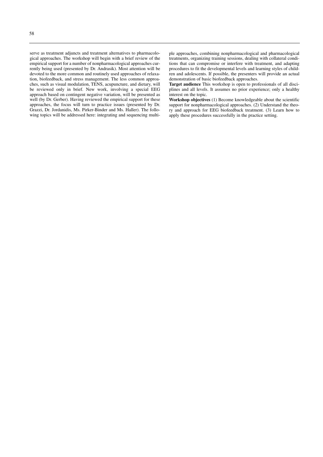serve as treatment adjuncts and treatment alternatives to pharmacological approaches. The workshop will begin with a brief review of the empirical support for a number of nonpharmacological approaches currently being used (presented by Dr. Andrasik). Most attention will be devoted to the more common and routinely used approaches of relaxation, biofeedback, and stress management. The less common approaches, such as visual modulation, TENS, acupuncture, and dietary, will be reviewed only in brief. New work, involving a special EEG approach based on contingent negative variation, will be presented as well (by Dr. Gerber). Having reviewed the empirical support for these approaches, the focus will turn to practice issues (presented by Dr. Grazzi, Dr. Jordanidis, Ms. Pirker-Binder and Ms. Haller). The following topics will be addressed here: integrating and sequencing multiple approaches, combining nonpharmacological and pharmacological treatments, organizing training sessions, dealing with collateral conditions that can compromise or interfere with treatment, and adapting procedures to fit the developmental levels and learning styles of children and adolescents. If possible, the presenters will provide an actual demonstration of basic biofeedback approaches.

**Target audience** This workshop is open to professionals of all disciplines and all levels. It assumes no prior experience; only a healthy interest on the topic.

**Workshop objectives** (1) Become knowledgeable about the scientific support for nonpharmacological approaches. (2) Understand the theory and approach for EEG biofeedback treatment. (3) Learn how to apply these procedures successfully in the practice setting.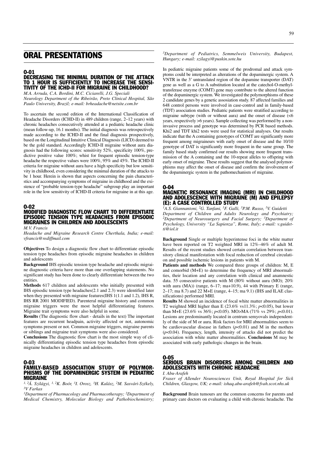# ORAL PRESENTATIONS

# O-01 DECREASING THE MINIMAL DURATION OF THE ATTACK TO 1 HOUR IS SUFFICIENTLY TO INCREASE THE SENSI-TIVITY OF THE ICHD-II FOR MIGRAINE IN CHILDHOOD?

*M.A. Arruda, C.A. Bordini, M.C. Ciciarelli, J.G. Speciali Neurology Department of the Ribeirão, Preto Clinical Hospital, São Paulo University, Brazil; e-mail: brheadache@netsite.com.br*

To ascertain the second edition of the International Classification of Headache Disorders (ICHD-II) in 489 children (range, 2–12 years) with chronic headaches consecutively attended at a pediatric headache clinic (mean follow-up, 16.1 months). The initial diagnosis was retrospectively made according to the ICHD-II and the final diagnosis prospectively, based on the Longitudinal Intuitive Clinical Diagnosis (LICD) deemed to be the gold standard. Accordingly ICHD-II migraine without aura diagnosis had the following scores: sensitivity 52%, specificity 100%, predictive positive value 100%; whist for frequent episodic tension-type headache the respective values were 100%, 95% and 45%. The ICHD-II criteria for migraine without aura have a high specificity but low sensitivity in childhood, even considering the minimal duration of the attacks to be 1 hour. Herein is shown that aspects concerning the pain characteristics and accompanying symptoms of migraine in childhood and the existence of "probable tension-type headache" subgroup play an important role in the low sensitivity of ICHD-II criteria for migraine in at this age.

#### O-02 MODIFIED DIAGNOSTIC FLOW CHART TO DIFFERENTIATE EPISODIC TENSION TYPE HEADACHES FROM EPISODIC MIGRAINES IN CHILDREN AND ADOLESCENTS *M.V. Francis*

*Headache and Migraine Research Centre Cherthala, India; e-mail: vfrancis@rediffmail.com*

**Objectives** To design a diagnostic flow chart to differentiate episodic tension type headaches from episodic migraine headaches in children and adolescents

**Background** IHS episodic tension type headache and episodic migraine diagnostic criteria have more than one overlapping statements. No significant study has been done to clearly differentiate between the two entities.

**Methods** 617 children and adolescents who initially presented with IHS episodic tension type headaches(2.1 and 2.3) were identified later when they presented with migraine features(IHS 1(1.1 and 1.2), IHS R, IHS RR 2001 MODIFIED). Parenteral migraine history and common migraine triggers were the most helpful differentiating features. Migraine trait symptoms were also helpful in some.

**Results** (The diagnostic flow chart - details in the text) The important features are recurrent headpain, activity affected or not, autonomic symptoms present or not. Common migraine triggers, migraine parents or siblings and migraine trait symptoms were also considered.

**Conclusions** The diagnostic flow chart is the most simple way of clinically differentiating episodic tension type headaches from episodic migraine headaches in children and adolescents.

#### O-03

# FAMILY-BASED ASSOCIATION STUDY OF POLYMOR-PHISMS OF THE DOPAMINERGIC SYSTEM IN PEDIATRIC MIGRAINE

*1, 2Á. Szilágyi, 1, 2K. Boór, 3I. Orosz, 3H. Kalász, 2M. Sasvári-Székely, 3V Farkas*

*1Department of Pharmacology and Pharmacotherapy; 2Department of Medical Chemistry, Molecular Biology and Pathobiochemistry;*

*3Department of Pediatrics, Semmelweis University, Budapest, Hungary; e-mail: szilagyi@puskin.sote.hu*

In pediatric migraine patients some of the prodromal and attack symptoms could be interpreted as alterations of the dopaminergic system. A VNTR in the 3' untranslated region of the dopamine transporter (DAT) gene as well as a G to A substitution located at the catechol-O-methyltransferase enzyme (COMT) gene may contribute to the altered function of the dopaminergic system. We investigated the polymorphisms of these 2 candidate genes by a genetic assosiation study. 87 affected families and 648 control persons were involved in case-control and in family-based (TDT) association studies. Pediatric patients were stratified according to migraine subtype (with or without aura) and the onset of disease (<6 years, respectively >6 years). Sample collecting was performed by a noninvasive process and genotype was determined by PCR based methods. Khi2 and TDT khi2 tests were used for statistical analyses. Our results indicate that the A containing genotypes of COMT are significantly more frequent among migraineurs with early onset of disease and the 10/10 genotype of DAT is significantly more frequent in the same group. The family based study confirmed our results showing more frequent transmission of the A containing and the 10-repeat alleles to offspring with early onset of migraine. These results suggest that the analysed polymorphisms may affect the onset of disease and confirm the involvement of the dopaminergic system in the pathomechanism of migraine.

# O-04

# MAGNETIC RESONANCE IMAGING (MRI) IN CHILDHOOD AND ADOLESCENCE WITH MIGRAINE (M) AND EPILEPSY (E): A CASE CONTROLLED STUDY

*1A.S. Giannantoni, 2G. Tanfani, 1F. Galli, 3P.M. Russo, 1V. Guidetti Department of Children and Adults Neurology and Psychiatry; 2Department of Neurosurgery and Facial Surgery; 3Department of Psychology, University "La Sapienza", Rome, Italy; e-mail: v.guidetti@iol.it*

**Background** Single or multiple hyperintense foci in the white matter have been reported on T2 weighted MRI in 12%–46% of adult M. Results of the recent studies showed certain correlation between transitory clinical manifestation with focal reduction of cerebral circulation and possible ischemic lesions in patients with M.

**Patients and methods** We compared three groups of children: M, E and comorbid (M+E) to determine the frequency of MRI abnormalities, their location and any correlation with clinical and anamnestic data. 55 consecutive patients with M (80% without aura (MO); 20% with aura  $(MA)$ ) (range,  $6-17$ ; ma+10.9), 44 with Primary E (range, 2–17; ma 8.7) and 22 M+E (range, 4–15; ma 9.1) (IHS and ILAE classifications) performed MRI.

**Results** M showed an incidence of focal white matter abnormalities in T2 weighted MRI higher than E (23.6% vs11.3%; *p*<0.05), but lower than M+E (23.6% vs 36%; *p*<0.05). MO>MA (71% vs 29%; *p*<0.01). Lesions are predominantly located in centrum semyovals independently of the side of M or aura. Risk factors for MRI abnormalities seem to be cardiovascular disease in fathers  $(p<0.01)$  and M in the mothers  $(p<0.04)$ . Frequency, length, intensity of attacks did not predict the association with white matter abnormalities. **Conclusions** M may be associated with early pathologic changes in the brain.

# O-05

### SERIOUS BRAIN DISORDERS AMONG CHILDREN AND ADOLESCENTS WITH CHRONIC HEADACHE *I. Abu-Arafeh*

*Fraser of Allender Neurosciences Unit, Royal Hospital for Sick Children, Glasgow, UK; e-mail: ishaq.abu-arafeh@fvah.scot.nhs.uk*

**Background** Brain tumours are the common concerns for parents and primary care doctors on evaluating a child with chronic headache. The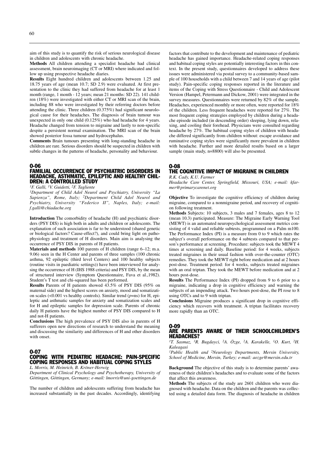aim of this study is to quantify the risk of serious neurological disease in children and adolescents with chronic headache.

**Methods** All children attending a specialist headache had clinical assessment, brain neuroimaging  $\overrightarrow{(CT \text{ or } MRI)}$  where indicated and follow up using prospective headache diaries.

**Results** Eight hundred children and adolescents between 1.25 and 18.75 years of age (mean 10.7; SD 2.9) were evaluated. At first presentation to the clinic they had suffered from headache for at least 1 month (range, 1 month - 12 years; mean 21 months: SD 22). 141 children (18%) were investigated with either CT or MRI scan of the brain, including 88 who were investigated by their referring doctors before attending the clinic. Three children (0.375%) had significant neurological cause for their headaches. The diagnosis of brain tumour was unexpected in only one child (0.125%) who had headache for 4 years. Headache changed from tension to migraine and lastly to non-specific despite a persistent normal examination. The MRI scan of the brain showed posterior fossa tumour and hydrocephalus.

**Comments** Brain tumours presenting with long-standing headache in children are rare. Serious disorders should be suspected in children with subtle changes in the patterns of headache, personality and behaviour.

### O-06 FAMILIAL OCCURRENCE OF PSYCHIATRIC DISORDERS IN HEADACHE, ASTHMATIC, EPILEPTIC AND HEALTHY CHIL-DREN: A CONTROLLED STUDY

*1F. Galli, 1V. Guidetti, 2F. Tagliente*

*1Department of Child Adol Neurol and Psychiatry, University "La Sapienza", Rome, Italy; 2Department Child Adol Neurol and Psychiatry, University "Federico II", Naples, Italy; e-mail: f.galli@chiadache.org*

**Introduction** The comorbidity of headache (H) and psychiatric disorders (PSY DIS) is high both in adults and children or adolescents. The explanation of such association is far to be understood (shared genetic or biological factors? Cause-effect?), and could bring light on pathophysiology and treatment of H disorders. Main aim is analysing the occurrence of PSY DIS in parents of H patients.

**Materials and methods** 100 parents of H children (range 6–12; m.a. 9.06) seen in the H Center and parents of three samples (100 chronic asthma, 92 epileptic (third level Centers) and 100 healthy subjects (routine visits in paediatric settings)) have been interviewed for analysing the occurrence of H (IHS 1988 criteria) and PSY DIS, by the mean of structured interview (Symptom Questionnaire, Fava et al.,1982). Student's T test and chi-squared has been performed.

**Results** Parents of H patients showed 43.5% of PSY DIS (95% on maternal side) and the highest scores on anxiety, mood and somatization scales (<0.001 vs healthy controls). Similar trend (*p*=ns) for H, epileptic and asthmatic samples for anxiety and somatization scales and for H and epileptic samples for depression scale. Parents of chronic daily H patients have the highest number of PSY DIS compared to H and not-H patients.

**Conclusions** The high prevalence of PSY DIS also in parents of H sufferers open new directions of research to understand the meaning and discussing the similarity and differences of H and other disorders with onset.

# O-07 COPING WITH PEDIATRIC HEADACHE: PAIN-SPECIFIC COPING RESPONSES AND HABITUAL COPING STYLES

*L. Morris, M. Heinrich, B. Kröner-Herwig Department of Clinical Psychology and Psychotherapy, University of Göttingen, Göttingen, Germany; e-mail: lmorris@uni-goettingen.de*

The number of children and adolescents suffering from headache has increased substantially in the past decades. Accordingly, identifying

factors that contribute to the development and maintenance of pediatric headache has gained importance. Headache-related coping responses and habitual coping styles are potentially interesting factors in this context. In the present study, questionnaires developed to address these issues were administered via postal survey to a community-based sample of 100 households with a child between 7 and 14 years of age (pilot study). Pain-specific coping responses reported in the literature and items of the Coping with Stress Questionnaire - Child and Adolescent Version (Hampel, Petermann and Dickow, 2001) were integrated in the survey measures. Questionnaires were returned by 82% of the sample. Headaches, experienced monthly or more often, were reported for 18% of the children. Less frequent headaches were reported for 27%. The most frequent coping strategies employed by children during a headache episode included (in descending order) sleeping, lying down, relaxing, and cooling their forehead. Physicians were consulted regarding headache by 27%. The habitual coping styles of children with headache differed significantly from children without: escape avoidance and ruminative coping styles were significantly more prevalent in children with headache. Further and more detailed results based on a larger sample (main study, n=8800) will also be presented.

# O-08

# THE COGNITIVE IMPACT OF MIGRAINE IN CHILDREN *R.K. Cady, K.U. Farmer*

*Headache Care Center, Springfield, Missouri, USA; e-mail: kfarmer@primarycarenet.org*

**Objective** To investigate the cognitive efficiency of children during migraine, compared to a nonmigraine period, and recovery of cognition following treatment.

**Methods** Subjects: 10 subjects, 3 males and 7 females, ages 8 to 12 (mean 10.3) participated. Measure: The Migraine Early Warning Tool (MEWT) is an automated neuropsychological assessment metrics consisting of 4 valid and reliable subtests, programmed on a Palm m100. The Performance Index (PI) is a measure from 0 to 9 which rates the subject's overall performance on the 4 subtests compared to that person's performance at screening. Procedure: subjects took the MEWT 4 times at screening and daily. Baseline period: for 4 weeks, subjects treated migraines in their usual fashion with over-the-counter (OTC) remedies. They took the MEWT right before medication and at 2 hours post-dose. Treatment period: for 4 weeks, subjects treated migraines with an oral triptan. They took the MEWT before medication and at 2 hours post-dose.

**Results** The Performance Index (PI) dropped from 9 to 6 prior to a migraine, indicating a drop in cognitive efficiency and warning the subjects of an impending attack. Two hours post-dose, the PI rose to 8 using OTCs and to 9 with triptan.

**Conclusions** Migraine produces a significant drop in cognitive efficiency which recovers with treatment. A triptan facilitates recovery more rapidly than an OTC.

# O-09 ARE PARENTS AWARE OF THEIR SCHOOLCHILDREN'S HEADACHES?

*1T. Sasmaz, 1R. Bugdayci, 2A. Özge, 2A. Karakelle, 1O. Kurt, 2H. Kaleagasi*

*1Public Health and 2Neurology Departments, Mersin University, School of Medicine, Mersin, Turkey; e-mail: aozge@mersin.edu.tr*

**Background** The objective of this study is to determine parents' awareness of their children's headaches and to evaluate some of the factors that affect this awareness.

**Methods** The subjects of the study are 2601 children who were diagnosed with headache. Data on the children and the parents was collected using a detailed data form. The diagnosis of headache in children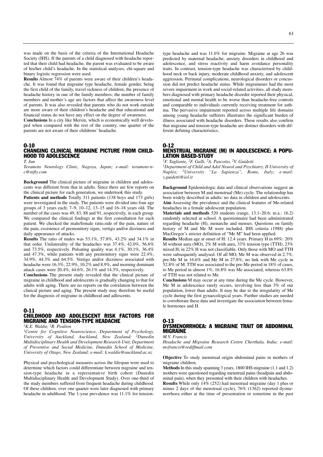was made on the basis of the criteria of the International Headache Society (IHS). If the parents of a child diagnosed with headache reported that their child had headache, the parent was evaluated to be aware of his/her child's headache. In the statistical analyses, chi-square and binary logistic regression were used.

**Results** Almost 74% of parents were aware of their children's headache. It was found that migraine type headache, female gender, being the first child of the family, travel sickness of children, the presence of headache history in one of the family members; the number of family members and mother's age are factors that affect the awareness level of parents. It was also revealed that parents who do not work outside are more aware of their children's headache and that educational and financial status do not have any effect on the degree of awareness.

**Conclusions** In a city like Mersin, which is economically well developed when compared with the rest of the country, one quarter of the parents are not aware of their childrens' headache.

## O-10 CHANGING CLINICAL MIGRAINE PICTURE FROM CHILD-HOOD TO ADOLESCENCE

*T. Jun*

*Teramoto Neurology Clinic, Nagoya, Japan; e-mail: teramoto-nc@nifty.com*

**Background** The clinical picture of migraine in children and adolescents was different from that in adults. Since there are few reports on the clinical picture for each generation, we undertook this study.

**Patients and methods** Totally 311 patients (138 boys and 173 girls) were investigated in the study. The patients were divided into four age groups of 3 years each; 7–9, 10–12, 13–15 and 16–18 years old. The number of the cases was 49, 83, 88 and 91, respectively, in each group. We compared the clinical findings at the first consultation for each patient. We checked the male/female ratio,side of the pain, nature of the pain, exsistence of premonitory signs, vertigo and/or dizziness and daily appearance of attacks.

**Results** The ratio of males was 53.1%, 57.8%, 43.2% and 34.1% in that order. Unilaterality of the headaches was 37.4%, 42.0%, 56.6% and 73.5%, respectively. Pulsating quality was 4.1%, 30.1%, 36.4% and 47.3%, while patients with any premonitory signs were 22.4%, 34.9%, 44.3% and 64.5%. Vertigo and/or dizziness associated with headache were 16.3%, 22.9%, 10.2% and 8.9%, and morning dominant attack cases were 20.4%, 44.6%, 26.1% and 14.3%, respectively.

**Conclusions** The present study revealed that the clinical picture of migraine in childhood and adolescents is gradually changing to that for adults with aging. There are no reports on the correlation between the clinical picture and aging. The present study may therefore be useful for the diagnosis of migraine in childhood and adlescents.

# O-11 CHILDHOOD AND ADOLESCENT RISK FACTORS FOR MIGRAINE AND TENSION-TYPE HEADACHE

*1K.E. Waldie, 2R. Poulton*

*1Centre for Cognitive Neuroscience, Department of Psychology, University of Auckland, Auckland, New Zealand; 2Dunedin Multidisciplinary Health and Development Research Unit, Department of Preventive and Social Medicine, Dunedin School of Medicine, University of Otago, New Zealand; e-mail: k.waldie@auckland.ac.nz*

Physical and psychological measures across the lifespan were used to determine which factors could differentiate between migraine and tension-type headache in a representative birth cohort (Dunedin Multidisciplinary Health and Development Study). Over one-third of the study members suffered from frequent headache during childhood. Of these children, over one quarter were later diagnosed with primary headache in adulthood. The 1-year prevalence was 11.1% for tensiontype headache and was 11.6% for migraine. Migraine at age 26 was predicted by maternal headache, anxiety disorders in childhood and adolescence, and stress reactivity and harm avoidance personality traits. In contrast, tension-type headache was characterised by childhood neck or back injury, moderate childhood anxiety, and adolescent aggression. Perinatal complications, neurological disorders or concussion did not predict headache status. While migraineurs had the most severe impairment in work and social-related activities, all study members diagnosed with primary headache disorder reported their physical, emotional and mental health to be worse than headache-free controls and comparable to individuals currently receiving treatment for asthma. The pervasive impairment reported across multiple life domains among young headache sufferers illustrates the significant burden of illness associated with headache disorders. These results also confirm that migraine and tension-type headache are distinct disorders with different defining characteristics.

### O-12 MENSTRUAL MIGRAINE (M) IN ADOLESCENCE: A POPU-LATION BASED-STUDY

*1F. Tagliente, 2F. Galli, 2A. Pascotto, 2V. Guidetti*

*1Department of Child and Adol Neurol and Psychiatry, II University of Naples; 2University "La Sapienza", Rome, Italy; e-mail: v.guidetti@iol.it*

**Background** Epidemiologic data and clinical observations suggest an association between M and menstrual (Me) cycle. The relationship has been widely described in adults: no data in children and adolescents. **Aim** Assessing the prevalence and the clinical features of Me-related headaches in a female adolescent population.

**Materials and methods** 520 students (range, 13.1–20.6; m.a.: 16.2) randomly selected at school. A questionnaire had been administrated regarding headache (H), menarche and menses. Questions on family history of M and Me M were included. IHS criteria (1988) plus MacGregor's stricter definition of "Me M" had been applied.

**Results** Median age at onset of H: 12.4 years. Primary H in 69%: 20% M without aura (MO), 2% M with aura, 33% tension type (TTH), 23% mixed H; in 22% H was not classifiable. Only those with MO and TTH were subsequently analysed. Of all MO, Me M was observed in 2.7%, pre-Me M in 16.6% and Me M in 27.8%; no link with Me cycle in 52.8% of M. TTH was associated to the pre-Me period in 18% of cases, to Me period in almost 1%, 16.8% was Me associated, whereas 63.8% of TTH was not related to Me.

**Conclusions** M may occur at any time during the Me cycle. However, Me M in adolescence rarely occurs, involving less than 3% of our population, lower than adults. It may be due to the irregularity of Me cycle during the first gynaecological years. Further studies are needed to corroborate these data and investigate the association between female hormones and H.

# O-13 DYSMENORRHOEA: A MIGRAINE TRAIT OR ABDOMINAL MIGRAINE

*M.V. Francis*

*Headache and Migraine Research Centre Cherthala, India; e-mail: mvfrancis@rediffmail.com*

**Objective** To study menstrual origin abdominal pains in mothers of migraine children.

**Methods**In this study spanning 3 years, 1800 IHS migraine (1.1 and 1.2) mothers were questioned regarding menstrual pains (headpain and abdominal pain), when they presented with their children with headaches.

**Results** While only 14% (252) had menstrual migraine (day 1 plus or minus 2 days of the menstrual cycle), 76% (1362) reported dysmenorrhoea either at the time of presentation or sometime in the past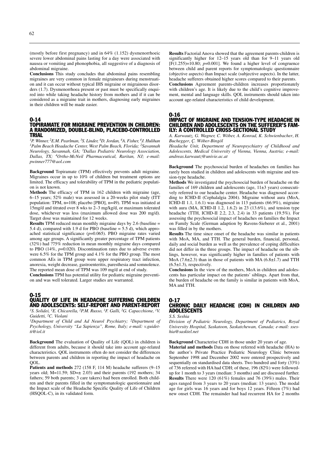(mostly before first pregnancy) and in 64% (1.152) dysmenorrhoeic severe lower abdominal pains lasting for a day were associated with nausea or vomiting and phonophobia, all suggestive of a diagnosis of abdominal migraine.

**Conclusions** This study concludes that abdominal pains resembling migraines are very common in female migraineurs during menstruation and it can occur without typical IHS migraine or migrainous disorders (1.7). Dysmenorrhoea present or past must be specifically enquired into while taking headache history from mothers and if it can be considered as a migraine trait in mothers, diagnosing early migraines in their children will be made easier.

### O-14 TOPIRAMATE FOR MIGRAINE PREVENTION IN CHILDREN: A RANDOMIZED, DOUBLE-BLIND, PLACEBO-CONTROLLED TRIAL

*1P. Winner, 2E.M. Pearlman, 3S. Linder, 4D. Jordan, 4A. Fisher, 4J. Hulihan 1Palm Beach Headache Center, West Palm Beach, Florida; 2Savannah Neurology, Savannah, GA; 3Dallas Pediatric Neurology Association, Dallas, TX; 4Ortho-McNeil Pharmaceutical, Raritan, NJ; e-mail: pwinner777@aol.com*

**Background** Topiramate (TPM) effectively prevents adult migraine. Migraines occur in up to 10% of children but treatment options are limited. The efficacy and tolerability of TPM in the pediatric population is not known.

**Methods** The efficacy of TPM in 162 children with migraine (age, 6–15 years; 52% male) was assessed in a 20-weeks pilot study (ITT population: TPM, n=108; placebo [PBO], n=49). TPM was initiated at 15mg/d and titrated over 8 wks to 2–3 mg/kg/d, or maximum tolerated dose, whichever was less (maximum allowed dose was 200 mg/d). Target dose was maintained for 12 weeks.

**Results** TPM reduced mean monthly migraine days by 2.6 (baseline = 5.4 d), compared with 1.9 d for PBO (baseline = 5.5 d), which approached statistical significance (*p*=0.065). PBO migraine rates varied among age groups. A significantly greater percentage of TPM patients (32%) had ?75% reduction in mean monthly migraine days compared to PBO (14%, *p*=0.020). Discontinuation rates due to adverse events were 6.5% for the TPM group and 4.1% for the PBO group. The most common AEs in TPM group were upper respiratory tract infection, anorexia, weight decrease, gastroenteritis, paresthesia and somnolence. The reported mean dose of TPM was 109 mg/d at end of study.

**Conclusions** TPM has potential utility for pediatric migraine prevention and was well tolerated. Larger studies are warranted.

### O-15 QUALITY OF LIFE IN HEADACHE SUFFERING CHILDREN AND ADOLESCENTS: SELF-REPORT AND PARENT-REPORT

*1S. Solidei, 1E. Chicarella, 2P.M. Russo, 1F. Galli, 2G. Capacchione, 1V. Guidetti, 2C. Violani*

*1Department of Child and Ad Neurol Psychiatry; 2Department of Psychology, University "La Sapienza", Rome, Italy; e-mail: v.guidetti@iol.it*

**Background** The evaluation of Quality of Life (QOL) in children is different from adults, because it should take into account age-related characteristics. QOL instruments often do not consider the differences between parents and children in reporting the impact of headache on OOL.

**Patients and methods** 272 (158 F, 114 M) headache sufferers (9–15 years old; M=11.59; SD= $\pm$  2.03) and their parents (192 mothers; 34 fathers; 59 both parents; 3 care takers) had been enrolled. Both children and their parents filled in the symptomatologic questionnaire and the Impact scale of the Headache Specific Quality of Life of Children (HSQOL-C), in its validated form.

**Results** Factorial Anova showed that the agreement parents-children is significantly higher for 12–15 years old than for 9–11 years old  $[F(1.255)=10.80; p=0.001]$ . We found a higher level of congruence between child and parent reports for symptomatologic questionnaire (objective aspects) than Impact scale (subjective aspects). In the latter, headache sufferers obtained higher scores compared to their parents.

**Conclusions** Agreement parents-children increases proportionately with children's age. It is likely due to the child's cognitive improvement, mental and language skills. QOL instruments should taken into account age-related characteristics of child development.

O-16

# IMPACT OF MIGRAINE AND TENSION-TYPE HEADACHE IN CHILDREN AND ADOLESCENTS ON THE SUFFERER'S FAM-ILY: A CONTROLLED CROSS-SECTIONAL STUDY

*A. Karwautz, G. Wagner, C. Wöber, A. Konrad, K. Schwienbacher*, *H. Buchegger*, *Ç. Wöber-Bingöl*

*Headache Unit, Department of Neuropsychiatry of Childhood and Adolescents, Medical University of Vienna, Vienna, Austria; e-mail: andreas.karwautz@univie.ac.at*

**Background** The psychosocial burden of headaches on families has rarely been studied in children and adolescents with migraine and tension-type headache.

**Methods** We investigated the psychosocial burden of headache on the families of 169 children and adolescents (age,  $11\pm3$  years) consecutively referred to our headache center. Headache was diagnosed according to ICHD-II (Cephalalgia 2004). Migraine without aura (MoA, ICHD-II 1.1, 1.6.1) was diagnosed in 113 patients (66.9%), migraine with aura (MA, ICHD-II 1.2, 1.6.2) in 23 (13.6%), and tension type headache (TTH, ICHD-II 2.2, 2.3, 2.4) in 33 patients (19.5%). For assessing the psychosocial impact of headaches on families the Impact on Family Scale (German adaption by Ravens-Sieberer et al., 2001) was filled in by the mothers.

**Results** The time since onset of the headache was similar in patients with MoA, MA, and TTH. The general burden, financial, personal, daily and social burden as well as the prevalence of coping difficulties did not differ in the three groups. The impact of headache on the siblings, however, was significantly higher in families of patients with MoA (7.6±2.3) than in those of patients with MA (6.8±1.7) and TTH  $(6.5\pm1.3)$ , respectively.

**Conclusions** In the view of the mothers, MoA in children and adolescents has particular impact on the patients' siblings. Apart from that, the burden of headache on the family is similar in patients with MoA, MA and TTH.

# O-17 CHRONIC DAILY HEADACHE (CDH) IN CHILDREN AND ADOLESCENTS

*S.S. Seshia*

*Division of Pediatric Neurology, Department of Pediatrics, Royal University Hospital, Saskatoon, Saskatchewan, Canada; e-mail: sseshia@sasktel.net*

**Background** Characterise CDH in those under 20 years of age.

**Material and methods** Data on those referred with headache (HA) to the author's Private Practice Pediatric Neurology Clinic between September 1998 and December 2002 were entered prospectively and sequentially on standardised data sheets. Two hundred and forty (33%) of 736 referred with HA had CDH; of these, 196 (82%) were followedup for 1 month to 3 years (median: 3 months) and are discussed further. **Results** There were 120 (61%) females and 76 (39%) males. Their ages ranged from 3 years to 20 years (median: 13 years). The modal age for girls was 16 years and for boys 12 years. Fifteen (7%) had new onset CDH. The remainder had had recurrent HA for 2 months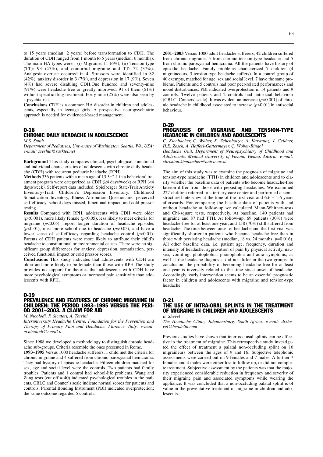to 15 years (median: 2 years) before transformation to CDH. The duration of CDH ranged from 1 month to 5 years (median: 6 months). The main HA types were : (i) Migraine: 11 (6%), (ii) Tension-type (TT): 93 (47%), and comorbid migraine and TT: 72 (37%). Analgesia-overuse occurred in 4. Stressors were identified in 82 (42%), anxiety disorder in 3 (7%), and depression in 17 (9%). Seven (4%) had severe disabling CDH.One hundred and seventy-nine (91%) were headache free or greatly improved, 91 of them (51%) without specific drug treatment. Forty-nine (25%) were also seen by a psychiatrist.

**Conclusions** CDH is a common HA disorder in children and adolescents, especially in teenage girls. A prospective neuropsychiatric approach is needed for evidenced-based management.

# O-18 CHRONIC DAILY HEADACHE IN ADOLESCENCE

### *M.S. Smith*

*Department of Pediatrics, University of Washington. Seattle, WA, USA; e-mail: sseshia@sasktel.net*

**Background** This study compares clinical, psychological, functional and individual characteristics of adolescents with chronic daily headache (CDH) with recurrent pediatric headache (RPH).

**Methods** 336 patients with a mean age of 13.3±2.1 in a behavioral treatment program were categorized as CDH (≥4 days/week) or RPH (<4 days/week). Self-report data included: Spielberger State-Trait Anxiety Inventory-Trait, Children's Depression Inventory, Childhood Somatization Inventory, Illness Attribution Questionaire, perceived self-efficacy, school days missed, functional impact, and cold pressor testing.

**Results** Compared with RPH, adolescents with CDH were older (*p*<0.001), more likely female (*p*<0.05), less likely to meet criteria for migraine (*p*<0.05), report longer duration of headache episodes  $(p<0.01)$ , miss more school due to headache  $(p<0.05)$ , and have a lower sense of self-efficacy regarding headache control (*p*<0.01). Parents of CDH patients were more likely to attribute their child's headache to constitutional or environmental causes. There were no significant group differences for anxiety, depression, somatization, perceived functional impact or cold pressor scores.

**Conclusions** This study indicates that adolescents with CDH are older and more likely to be female than those with RPH.The study provides no support for theories that adolescents with CDH have more psychological symptoms or increased pain sensitivity than adolescents with RPH.

#### O-19

# PREVALENCE AND FEATURES OF CHRONIC MIGRAINE IN CHILDREN: THE PERIOD 1993–1995 VERSUS THE PERI-OD 2001–2003. A CLAIM FOR AID

*M. Nicolodi, F. Sicuteri, A. Torrini*

*Interuniversity Headache Centre, Foundation for the Prevention and Therapy of Primary Pain and Headache, Florence, Italy; e-mail: m.nicolodi@email.it*

Since 1988 we developed a methodology to distinguish chronic headache sub-groups. Criteria resemble the ones presented in Rome.

**1993–1995** Versus 1000 headache sufferers, 1 child met the criteria for chronic migraine and 4 suffered from chronic paroxysmal hemicrania. They had hystory of episodic headache. Fifteen children matched for sex, age and social level were the controls. Two patients had family troubles. Patients and 1 control had school-life problems. Wang and Zung tests (cut off  $= 40$ ) indicated psychological troubles in the patients. CBLC and Conner's scale indicate normal scores for patients and controls, Parental Bonding Instrument (PBI) indicated overprotection; the same outcome regarded 5 controls.

**2001–2003** Versus 1000 adult headache sufferers, 42 children suffered from chronic migraine, 5 from chronic tension-type headache and 5 from chronic paroxysmal hemicrania. All the patients have history of episodic headache. Family problems characterized 7 children (4 migraineours, 3 tension-type headache suffers). In a control group of 40 exempts, matched for age, sex and social level, 7 have the same problems. Patients and 5 controls had poor peer-related performances and mood disturbances. PBI indicated overprotection in 14 patients and 9 controls. Twelve patients and 2 controls had antisocial behaviour (CBLC, Conners' scale). It was evident an increase (*p*<0.001) of chronic headache in childhood associated to increase (*p*>0.01) in antisocial behaviour.

#### 0-20<br>Prognosis of **MIGRAINE AND TENSION-TYPE** HEADACHE IN CHILDREN AND ADOLESCENTS

*C. Kienbacher, C. Wöber, K. Zebenholzer, A. Karwautz, J. Geldner, H.E. Zesch, A. Hafferl-Gattermayer, Ç. Wöber-Bingöl*

*Headache Unit, Department of Neuropsychiatry of Childhood and Adolescents, Medical University of Vienna, Vienna, Austria; e-mail: christian.kienbacher@univie.ac.at*

The aim of this study was to examine the prognosis of migraine and tension-type headache (TTH) in children and adolescents and to clarify whether the baseline data of patients who become headache-free lateron differ from those with persisting headaches. We examined 227 children referred to a tertiary care center and performed a semistructured interview at the time of the first visit and  $6.6 + 1.6$  years afterwards. For comparing the baseline data of patients with and without headache at follow-up we calculated Mann-Whitney-tests and Chi-square tests, respectively. At baseline, 140 patients had migraine and 87 had TTH. At follow-up, 69 patients (30%) were headache-free for at least one year, and 158 (70%) still suffered from headache. The time between onset of headache and the first visit was significantly shorter in patients who became headache-free than in those with persisting headache (median, 18 vs. 24 months; *p*=0.016). All other baseline data, i.e. patient age, frequency, duration and intensity of headache, aggravation of pain by physical activity, nausea, vomiting, photophobia, phonophobia and aura symptoms, as well as the headache diagnosis, did not differ in the two groups. In conclusion, the probability of becoming headache-free for at least one year is inversely related to the time since onset of headache. Accordingly, early intervention seems to be an essential prognostic factor in children and adolescents with migraine and tension-type headache.

#### O-21 THE USE OF INTRA-ORAL SPLINTS IN THE TREATMENT OF MIGRAINE IN CHILDREN AND ADOLESCENTS *E. Shevel*

*The Headache Clinic, Johannesburg, South Africa; e-mail: drshevel@headclin.com*

Previous studies have shown that inter-occlusal splints can be effective in the treatment of migraine. This retrospective study investigated the effect of treatment a palatal non-occluding splint on 16 migraineurs between the ages of 9 and 16. Subjective telephonic assessments were carried out on 9 females and 7 males. A further 7 females and 4 males were either lost to follow up, or did not complete treatment. Subjective assessment by the patients was that the majority experienced considerable reduction in frequency and severity of their migraine pain and associated symptoms while wearing the appliance. It was concluded that a non-occluding palatal splint is of value in the preventative treatment of migraine in children and adolescents.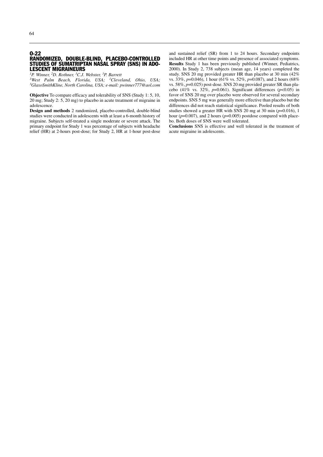# O-22 RANDOMIZED, DOUBLE-BLIND, PLACEBO-CONTROLLED STUDIES OF SUMATRIPTAN NASAL SPRAY (SNS) IN ADO-LESCENT MIGRAINEURS

*1P. Winner, 2D. Rothner, 3C.J. Webster, 3P. Barrett*

*1West Palm Beach, Florida, USA; 1Cleveland, Ohio, USA; 3GlaxoSmithKline, North Carolina, USA; e-mail: pwinner777@aol.com*

**Objective** To compare efficacy and tolerability of SNS (Study 1: 5, 10, 20 mg; Study 2: 5, 20 mg) to placebo in acute treatment of migraine in adolescence.

**Design and methods** 2 randomized, placebo-controlled, double-blind studies were conducted in adolescents with at least a 6-month history of migraine. Subjects self-treated a single moderate or severe attack. The primary endpoint for Study 1 was percentage of subjects with headache relief (HR) at 2-hours post-dose; for Study 2, HR at 1-hour post-dose

and sustained relief (SR) from 1 to 24 hours. Secondary endpoints included HR at other time points and presence of associated symptoms. **Results** Study 1 has been previously published (Winner, Pediatrics, 2000). In Study 2, 738 subjects (mean age, 14 years) completed the study. SNS 20 mg provided greater HR than placebo at 30 min (42% vs. 33%, *p*=0.046), 1 hour (61% vs. 52%, *p*=0.087), and 2 hours (68% vs. 58%, *p*=0.025) post-dose. SNS 20 mg provided greater SR than placebo (41% vs. 32%,  $p=0.061$ ). Significant differences ( $p<0.05$ ) in favor of SNS 20 mg over placebo were observed for several secondary endpoints. SNS 5 mg was generally more effective than placebo but the differences did not reach statistical significance. Pooled results of both studies showed a greater HR with SNS 20 mg at 30 min (*p*=0.016), 1 hour ( $p=0.007$ ), and 2 hours ( $p=0.005$ ) postdose compared with placebo. Both doses of SNS were well tolerated.

**Conclusions** SNS is effective and well tolerated in the treatment of acute migraine in adolescents.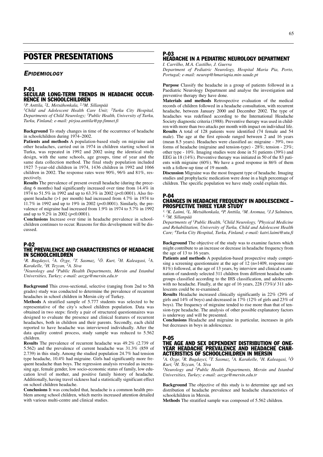# POSTER PRESENTATIONS

# *EPIDEMIOLOGY*

# P-01 SECULAR LONG-TERM TRENDS IN HEADACHE OCCUR-RENCE IN SCHOOLCHILDREN

*1P. Anttila, 2L. Metsähonkala, 2,3M. Sillanpää*

*1Child and Adolescent Health Care Unit; 2Turku City Hospital, Departments of Child Neurology; 3Public Health, University of Turku, Turku, Finland; e-mail: pirjoa.anttila@pp.fimnet.fi*

**Background** To study changes in time of the occurrence of headache in schoolchildren during 1974–2002.

Patients and methods A population-based study on migraine and other headaches, carried out in 1974 in children starting school in Turku, was repeated in 1992 and 2002 using the identical study design, with the same schools, age groups, time of year and the same data collection method. The final study population included 1927 7-year-old children in 1974, 1436 children in 1992 and 1066 children in 2002. The response rates were 90%, 96% and 81%, respectively.

**Results** The prevalence of present overall headache (during the preceding 6 months) had significantly increased over time from 14.4% in 1974 to 51.5% in 1992 and up to 63.3% in 2002 (*p*<0.0001). Also frequent headache (>1 per month) had increased from 4.7% in 1974 to 11.7% in 1992 and up to 19% in 2002 (*p*<0.0001). Similarly, the prevalence of migraine had increased from 1.9% in 1974 to 5.7% in 1992 and up to 9.2% in 2002 (*p*<0.0001).

**Conclusions** Increase over time in headache prevalence in schoolchildren continues to occur. Reasons for this development will be discussed.

#### P-02 THE PREVALENCE AND CHARACTERISTICS OF HEADACHE IN SCHOOLCHILDREN

*1R. Bugdayci, 2A. Özge, 1T. Sasmaz, 1Ö. Kurt, 2H. Kaleagasi, 2A. Karakelle, 1H. Tezcan, 2A. Siva*

*1Neurology and 2Public Health Departments, Mersin and Istanbul Universities, Turkey; e-mail: aozge@mersin.edu.tr*

**Background** This cross-sectional, selective (ranging from 2nd to 5th grades) study was conducted to determine the prevalence of recurrent headaches in school children in Mersin city of Turkey.

**Methods** A stratified sample of 5.777 students was selected to be representative of the city's school children population. Data was obtained in two steps: firstly a pair of structured questionnaires was designed to evaluate the presence and clinical features of recurrent headaches, both in children and their parents. Secondly, each child reported to have headache was interviewed individually. After the data quality control process, study sample was reduced to 5.562 children.

**Results** The prevalence of recurrent headache was 49.2% (2.739 of 5.562) and the prevalence of current headache was 31.3% (859 of 2.739) in this study. Among the studied population 24.7% had tension type headache, 10.4% had migraine. Girls had significantly more frequent headache than boys. The regression analysis revealed as increasing age, female gender, low socio-economic status of family, low education level of mother, and positive family history of headache. Additionally, having travel sickness had a statistically significant effect on school children headache.

**Conclusions** It was concluded that, headache is a common health problem among school children, which merits increased attention detailed with various multi-centre and clinical studies.

# P-03

HEADACHE IN A PEDIATRIC NEUROLOGY DEPARTMENT *I. Carrilho, M.A. Castilho, J. Guerra*

*Department of Pediatric Neurology, Hospital Maria Pia, Porto, Portugal; e-mail: neurop@hmariapia.min-saude.pt*

**Purpose** Classify the headache in a group of patients followed in a Paediatric Neurology Department and analyse the investigation and preventive therapy they have done.

**Materials and methods** Retrospective evaluation of the medical records of children followed in a headache consultation, with recurrent headache, between January 2000 and December 2002. The type of headaches was redefined according to the International Headache Society diagnostic criteria (1988). Preventive therapy was used in children with more than two attacks per month with impact on individual life. **Results** A total of 128 patients were identified (74 female and 54 male). The age at the first episode ranged between 2 and 16 years (mean 8.5 years). Headaches were classified as: migraine - 39%, two forms of headache (migraine and tension-type) - 28%; tension - 23%; other type - 10%. Imaging studies were done in 51 patients (39%) and EEG in 18 (14%). Preventive therapy was initiated in 50 of the 83 patients with migraine (60%). We have a good response in 86% of them with a follow-up time of 19 month.

**Discussion** Migraine was the most frequent type of headache. Imaging studies and prophylactic medication were done in a high percentage of children. The specific population we have study could explain this.

### P-04 CHANGES IN HEADACHE FREQUENCY IN ADOLESCENCE – PROSPECTIVE THREE YEAR STUDY

*1, 3K. Laimi, 2L. Metsähonkala, 4P. Anttila, 1M. Aromaa, 3J.J Salminen, 1, 2M. Sillanpää*

*Departments of 1Public Health, 2Child Neurology, 3Physical Medicine and Rehabilitation, University of Turku, Child and Adolescent Health Care; 4Turku City Hospital, Turku, Finland; e-mail: katri.laimi@utu.fi*

**Background** The objective of the study was to examine factors which might contribute to an increase or decrease in headache frequency from the age of 13 to 16 years.

**Patients and methods** A population-based prospective study comprising a screening questionnaire at the age of  $12$  (n=1409, response rate 81%) followed, at the age of 13 years, by interview and clinical examination of randomly selected 311 children from different headache subgroups classified according to the IHS classification, and adolescents with no headache. Finally, at the age of 16 years, 228 (73%)/ 311 adolescents could be re-examined.

**Results** Headache increased clinically significantly in 22% (29% of girls and 14% of boys) and decreased in 17% (12% of girls and 23% of boys). The frequency of migraine tended to rise more than that of tension-type headache. The analysis of other possible explanatory factors is underway and will be presented.

**Conclusions** Headache and migraine in particular, increases in girls but decreases in boys in adolescence.

# P-05

# THE AGE AND SEX DEPENDENT DISTRIBUTION OF ONE-YEAR HEADACHE PREVALENCE AND HEADACHE CHAR-ACTERISTICS OF SCHOOLCHILDREN IN MERSIN

*1A. Özge, 2R. Bugdayci, 2T. Sasmaz, 1A. Karakelle, 1H. Kaleagasi, 2Ö Kurt, 2H. Tezcan, 1A. Siva*

*1Neurology and 2Public Health Departments, Mersin and Istanbul Universities, Turkey; e-mail: aozge@mersin.edu.tr*

**Background** The objective of this study is to determine age and sex distribution of headache prevalence and headache characteristics of schoolchildren in Mersin.

**Methods** The stratified sample was composed of 5.562 children.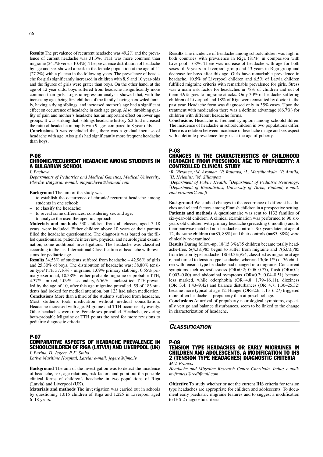**Results** The prevalence of recurrent headache was 49.2% and the prevalence of current headache was 31.3%. TTH was more common than migraine (24.7% versus 10.4%). The prevalence distribution of headache by age and sex showed a peak in the female population at the age of 11 (27.2%) with a plateau in the following years. The prevalence of headache for girls significantly increased in children with 8, 9 and 10 year-olds and the figures of girls were grater than boys. On the other hand, at the age of 12 year olds, boys suffered from headache insignificantly more common than girls. Logistic regression analysis showed that, with the increasing age, being first children of the family, having a crowded family, having a dying siblings, and increased mother's age had a significant effect on occurrence of headache in each age group. Also, throbbing quality of pain and mother's headache has an important effect on lower age groups. It was striking that, siblings headache history 6.2 fold increased the ratio of headache in pupils with 9 ages compared to 8 year-olds.

**Conclusions** It was concluded that, there was a gradual increase of headache with age. Also girls had significantly more frequent headache than boys.

### P-06 CHRONIC/RECURRENT HEADACHE AMONG STUDENTS IN A BULGARIAN SCHOOL

*I. Pacheva*

*Departments of Pediatrics and Medical Genetics, Medical University, Plovdiv, Bulgaria; e-mail: inapatcheva@hotmail.com*

**Background** The aim of the study was:

- to establish the occurrence of chronic/ recurrent headache among students in one school;
- to classify the headache;
- to reveal some differences, considering sex and age;
- to analyze the used therapeutic approach.

**Materials and methods** 530 children from all classes, aged 7–18 years, were included. Either children above 10 years or their parents filled the headache questionnaire. The diagnosis was based on the filled questionnaire, patient's interview, physical and neurological examination, some additional investigations. The headache was classified according to the last International Classification of headache with revisions for pediatric age.

**Results** 34.53% of students suffered from headache – 42.96% of girls and 25.30% of boys. The distribution of headache was: 38.80% tension type/TTH 37.16% - migraine, 1.09% primary stabbing, 0.55% primary exertional, 10.38% - either probable migraine or probable TTH, 4.37% - mixed, 1.09% - secondary, 6.56% - unclassified. TTH prevailed by the age of 10, after this age migraine prevailed. 55 of 183 students had looked for medical attention, but 123 had taken medication. **Conclusions** More than a third of the students suffered from headache. Most students took medication without medical consultation. Headache increased with age. Migraine and TTH occur nearly evenly. Other headaches were rare. Female sex prevailed. Headache, covering both-probable Migraine or TTH points the need for more revisions to pediatric diagnostic criteria.

# P-07

# COMPARATIVE ASPECTS OF HEADACHE PREVALENCE IN SCHOOLCHILDREN OF RIGA (LATVIA) AND LIVERPOOL (UK) *I. Purina, D. Jegere, R.K. Sinha*

*Lativa Maritime Hospital, Latvia; e-mail: jegere@ljmc.lv*

**Background** The aim of the investigation was to detect the incidence of headache, sex, age relations, risk factors and point out the possible clinical forms of children's headache in two populations of Riga (Latvia) and Liverpool (UK).

**Materials and methods** The investigation was carried out in schools by questioning 1.015 children of Riga and 1.225 in Liverpool aged 6–18 years.

**Results** The incidence of headache among schoolchildren was high in both countries with prevalence in Riga (81%) in comparison with Liverpool - 68%. There was increase of headache with age for both sexes till 9 years in Liverpool group and 13 years in Riga group and decrease for boys after this age. Girls have remarkable prevalence in headache. 10.5% of Liverpool children and 6.5% of Latvia children fulfilled migraine criteria with remarkable prevalence for girls. Stress was a main risk factor for headaches in 78% of children and out of them 3.9% goes to migraine attacks. Only 30% of headache suffering children of Liverpool and 18% of Riga were consulted by doctor in the past year. Headache form was diagnosed only in 35% cases. Upon the treatment with medication there was a definite advantage (86.7%) for children with different headache forms.

**Conclusions** Headache is frequent symptom among schoolchildren. The incidence of headache in schoolchildren in two populations differ. There is a relation between incidence of headache in age and sex aspect with a definite prevalence for girls at the age of puberty.

# P-08 CHANGES IN THE CHARACTERISTICS OF CHILDHOOD HEADACHE FROM PRESCHOOL AGE TO PREPUBERTY: A CONTROLLED CLINICAL STUDY

*1R. Virtanen, 1M. Aromaa, 1P. Rautava, 2L. Metsähonkala, 1P. Anttila, 3H. Helenius, 2M. Sillanpää*

*1Department of Public Health; 2Department of Pediatric Neurology; 3Department of Biostatistics, University of Turku, Finland; e-mail: ruut.virtanen@utu.fi*

**Background** We studied changes in the occurrence of different headaches and related factors among Finnish children in a prospective setting. **Patients and methods** A questionnaire was sent to 1132 families of six-year-old children. A clinical examination was performed to 96 sixyears-old children with primary headache (preceding 6 months) and to their pairwise matched non-headache controls. Six years later, at age of 12, the same children (n=85, 88%) and their controls (n=85, 88%) were clinically re-examined.

**Results** During follow-up, 18(15.3%)/85 children became totally headache-free, 5(4.3%)/85 begun to suffer from migraine and 7(6.0%)/85 from tension-type headache. 18(33.3%)/54, classified as migraine at age 6, had turned to tension-type headache, whereas 13(36.1%) of 36 children with tension-type headache had changed into migraine. Concurrent symptoms such as restlessness (OR=0.2; 0.06–0.77), flush (OR=0.1; 0.003–0.80) and abdominal symptoms (OR=0.2; 0.04–0.51) became less marked, while odorphobia (OR=4.8; 1.79–16.11), dizziness (OR=3.4; 1.43–9.42) and balance disturbances (OR=4.7; 1.30–25.32) became more typical at age 12. Hunger (OR=2.6; 1.13–6.27) triggered more often headache at prepuberty than at preschool age.

**Conclusions** At arrival of prepuberty neurological symptoms, especially vertigo and balance disturbances, seem to be linked to the change in characterization of headache.

# *CLASSIFICATION*

# P-09 TENSION TYPE HEADACHES OR EARLY MIGRAINES IN CHILDREN AND ADOLESCENTS. A MODIFICATION TO IHS 2 (TENSION TYPE HEADACHES) DIAGNOSTIC CRITERIA

*M.V. Francis*

*Headache and Migraine Research Centre Cherthala, India; e-mail: mvfrancis@rediffmail.com*

**Objective** To study whether or not the current IHS criteria for tension type headaches are appropriate for children and adolescents. To document early paediatric migraine features and to suggest a modification to IHS 2 diagnostic criteria.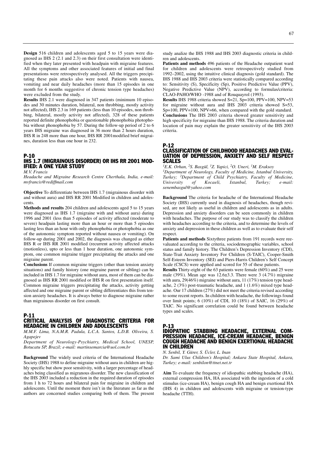**Design** 516 children and adolescents aged 5 to 15 years were diagnosed as IHS 2 (2.1 and 2.3) on their first consultation were identified when they later presented with headpain with migraine features. All the symptoms and other associated features of initial and final presentations were retrospectively analysed. All the triggers precipitating these pain attacks also were noted. Patients with nausea, vomiting and near daily headaches (more than 15 episodes in one month for 6 months suggestive of chronic tension type headaches) were excluded from the study.

**Results** IHS 2.1 were diagnosed in 347 patients (minimum 10 episodes and 30 minutes duration, bilateral, non throbbing, mostly activity not affected), IHS 2.3 in 169 patients (less than 10 episodes, non throbbing, bilateral, mostly activity not affected), 328 of these patients reported definite phonophobia or questionable phonophobia photophobia without phonophobia by 57. During the follow-up period of 2 to 6 years IHS migraine was diagnosed in 36 more than 2 hours duration, IHS R in 248 more than one hour, IHS RR 2001modified brief migraines, duration less than one hour in 232.

#### P-10 IHS 1.7 (MIGRAINOUS DISORDER) OR IHS RR 2001 MOD-IFIED: A ONE YEAR STUDY

*M.V. Francis*

*Headache and Migraine Research Centre Cherthala, India, e-mail: mvfrancis@rediffmail.com*

**Objective** To differentiate between IHS 1.7 (migrainous disorder with and without aura) and IHS RR 2001 Modified in children and adolescents.

**Methods and results** 204 children and adolescents aged 5 to 15 years were diagnosed as IHS 1.7 (migraine with and without aura) during 1996 and 2001 (less than 5 episodes of activity affected (moderate to severe) headpain lasting more than an hour or more than 5 episodes lasting less than an hour with only phonophobia or photophobia as one of the autonomic symptom reported without nausea or vomiting). On follow-up during 2001 and 2002, the diagnosis was changed as either IHS R or IHS RR 2001 modified (recurrent activity affected attacks (motionless), upto or less than 1 hour duration, one autonomic symptom, one common migraine trigger precipitating the attacks and one migraine parent.

**Conclusions** If common migraine triggers (other than tension anxiety situations) and family history (one migraine parent or sibling) can be included in IHS 1.7 for migraine without aura, most of them can be diagnosed as IHS RR 2001 modified or IHS R on first presentation itself. Common migraine triggers precipitating the attacks, activity getting affected and one migraine parent or sibling differentiates this from tension anxiety headaches. It is always better to diagnose migraine rather than migrainous disorder on first consult.

#### P-11 CRITICAL ANALYSIS OF DIAGNOSTIC CRITERIA FOR HEADACHE IN CHILDREN AND ADOLESCENTS

*M.M.F. Lima, N.A.M.R. Padula, L.C.A. Santos, L.D.B. Oliveira, S. Agapejev*

*Department of Neurology-Psychiatry, Medical School, UNESP, Botucatu SP, Brazil; e-mail: martinsemarcia@uol.com.br*

**Background** The widely used criteria of the International Headache Society (IHS) 1988 to define migraine without aura in children are highly specific but show poor sensitivity, with a larger percentage of headaches being classified as migranous disorder. The new classification of the IHS 2003 included a reduction in the required duration of episodes from 1 h to 72 hours and bilateral pain for migraine in children and adolescents. Until the moment there isn't in the literature as far as the authors are concerned studies comparing both of them. The present study analize the IHS 1988 and IHS 2003 diagnostic criteria in children and adolescents.

**Patients and methods** 496 patients of the Headache outpatient ward for children and adolescents were retrospectively studied from 1992–2002, using the intuitive clinical diagnosis (gold standard). The IHS 1988 and IHS 2003 criteria were statistically compared according to: Sensitivity (S), Specificity (Sp), Positive Predictive Value (PPV), Negative Predictive Value (NPV), according to formulas/criteria: CLAO-PAHO/WHO -1988 and of Rouquayrol (1993).

**Results** IHS 1988 criteria showed S=21, Sp=100, PPV=100, NPV=53 for migraine without aura and IHS 2003 criteria showed S=53, Sp=100, PPV=100, NPV=66, when compared with the gold standard. **Conclusions** The IHS 2003 criteria showed greater sensitivity and high specificity for migraine than IHS 1988. The criteria duration and location of pain may explain the greater sensitivity of the IHS 2003 criteria.

#### P-12 CLASSIFICATION OF CHILDHOOD HEADACHES AND EVAL-UATION OF DEPRESSION, ANXIETY AND SELF RESPECT SCALES

*1E.K. Orhan, 2S. Basgül, 1Z. Yapici, 2O. Uneri, 1M. Eraksoy 1Department of Neurology, Faculty of Medicine, Istanbul University, Turkey; 2Department of Child Psychiatry, Faculty of Medicine, University of Kocaeli, Istanbul, Turkey; e-mail: senembasgul@yahoo.com*

**Background** The criteria for headache of the International Headache Society (IHS) currently used in diagnosis of headaches, though revised, are not likely as useful in children and adolescents as in adults. Depression and anxiety disorders can be seen commonly in children with headaches. The purpose of our study was to classify the children with headaches according to the criteria, and to determine the levels of anxiety and depression in these children as well as to evaluate their self respect.

**Patients and methods** Sixtythree patients from 191 records were reevaluated according to the criteria, sociodemographic variables, school status and family history. The Children's Depression Inventory (CDI), State-Trait Anxiety Inventory For Children (S-TAIC), Cooper-Smith Self-Esteem Inventory (SEI) and Piers-Harris Children's Self Concept Scale (CSCS) were applied and scored for 55 of these patients.

**Results** Thirty-eight of the 63 patients were female (60%) and 25 were male (39%). Mean age was 12.6±3.3. There were 3 (4.7%) migraine with aura, 29(46%) migraine without aura, 11 (17%) tension type headache, 2 (3%) post-traumatic headache, and 1 (1.6%) mixed type headache. Our 17 children (27%) did not meet the criteria revised according to some recent reports. In children with headache, the followings found over limit points; 6 (10%) of CDI, 10 (18%) of SAIC, 16 (29%) of TAIC. No significant correlation could be found between headache types and scales.

#### P-13

## IDIOPATHIC STABBING HEADACHE, EXTERNAL COM-PRESSION HEADACHE, ICE-CREAM HEADACHE, BENIGN COUGH HEADACHE AND BENIGN EXERTIONAL HEADACHE IN CHILDREN

*N. Senbil, Y. Gürer, S. Ücler, L. Inan*

*Dr. Sami Ulus Children's Hospital; Ankara State Hospital, Ankara, Turkey; e-mail: senbilon@ttnet.net.tr*

**Aim** To evaluate the frequency of idiopathic stabbing headache (HA), external compression HA, HA associated with the ingestion of a cold stimulus (ice-cream HA), benign cough HA and benign exertional HA (IHS 4) in children and adolescents with migraine or tension-type headache (TTH).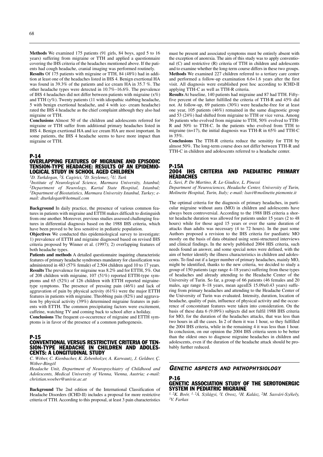**Methods** We examined 175 patients (91 girls, 84 boys, aged 5 to 16 years) suffering from migraine or TTH and applied a questionnaire covering the IHS criteria of the headaches mentioned above. If the patients had cough headache, cranial imaging was performed routinely.

**Results** Of 175 patients with migraine or TTH, 84 (48%) had in addition at least one of the headaches listed in IHS 4. Benign exertional HA was found in 39.3% of the patients and ice cream HA in 35.7 %. The other headache types were detected in 10.7%–16.6%. The prevalence of IHS 4 headaches did not differ between patients with migraine  $(x\%)$ and TTH (y%). Twenty patients (11 with idiopathic stabbing headache, 5 with benign exertional headache, and 4 with ice- cream headache) rated the IHS 4 headache as the chief complaint although they also had migraine or TTH.

**Conclusions** Almost 50 of the children and adolescents referred for migraine or TTH suffer from additional primary headaches listed in IHS 4. Benign exertional HA and ice cream HA are most important. In some patients, the IHS 4 headache seems to have more impact than migraine or TTH.

#### P-14

# OVERLAPPING FEATURES OF MIGRAINE AND EPISODIC TENSION-TYPE HEADACHE: RESULTS OF AN EPIDEMIO-LOGICAL STUDY IN SCHOOL AGED CHILDREN

*1D. Turkdogan, 2S. Cagirici, 3D. Soylemez, 2U. Turk*

*1Institute of Neurological Science, Marmara University, Istanbul; 2Department of Neurology, Kartal State Hospital, Istanbul; 3Department of Biostatistics, Marmara University Istanbul, Turkey; email: dturkdogan@hotmail.com*

**Background** In daily practice, the presence of various common features in patients with migraine and ETTH makes difficult to distinguish from one another. Moreover, previous studies assessed challenging features in differential diagnosis based on the 1988 IHS criteria, which have been proved to be less sensitive in pediatric population.

**Objectives** We conducted this epidemiological survey to investigate: 1) prevalence of ETTH and migraine diagnosed based on revised IHS criteria proposed by Winner et al. (1997); 2) overlapping features of both headache types.

**Patients and methods** A detailed questionnaire inquiring characteristic features of primary headache syndromes mandatory for classification was administered in 483 (57% female) of 2.504 children aged 10 to 17 years. **Results** The prevalence for migraine was 8.2% and for ETTH, 5%. Out of 208 children with migraine, 107 (51%) reported ETTH-type symptoms and 65 (52%) of 126 children with ETTH reported migrainetype symptoms. The presence of pressing pain (46%) and lack of aggravation of pain by physical activity ( $61\%$ ) were the major ETTH features in patients with migraine. Throbbing pain (82%) and aggravation by physical activity (39%) determined migraine features in patients with ETTH. The common precipitating factors were excitement, caffeine, watching TV and coming back to school after a holiday.

**Conclusions** The frequent co-occurrence of migraine and ETTH symptoms is in favor of the presence of a common pathogenesis.

#### P-15 CONVENTIONAL VERSUS RESTRICTIVE CRITERIA OF TEN-SION-TYPE HEADACHE IN CHILDREN AND ADOLES-CENTS: A LONGITUDINAL STUDY

*C. Wöber, C. Kienbacher, K. Zebenholzer, A. Karwautz, J. Geldner, Ç. Wöber-Bingöl*

*Headache Unit, Department of Neuropsychiatry of Childhood and Adolescents, Medical University of Vienna, Vienna, Austria; e-mail: christian.woeber@univie.ac.at*

**Background** The 2nd edition of the International Classification of Headache Disorders (ICHD-II) includes a proposal for more restrictive criteria of TTH. According to this proposal, at least 3 pain characteristics must be present and associated symptoms must be entirely absent with the exception of anorexia. The aim of this study was to apply conventional (C) and restrictive (R) criteria of TTH in children and adolescents and to examine whether the long-term course differs in these two groups. **Methods** We examined 227 children referred to a tertiary care center and performed a follow-up examination 6.6+1.6 years after the first visit. All diagnosis were established post hoc according to ICHD-II applying TTH-C as well as TTH-R criteria.

**Results** At baseline, 140 patients had migraine and 87 had TTH. Fiftyfive percent of the latter fulfilled the criteria of TTH-R and 45% did not. At follow-up, 69 patients (30%) were headache-free for at least one year, 105 patients (46%) remained in the same diagnostic group and 53 (24%) had shifted from migraine to TTH or vice versa. Among 36 patients who evolved from migraine to TTH, 50% evolved to TTH-R and 50% to TTH-C. In the patients who evolved from TTH to migraine (n=17), the initial diagnosis was TTH-R in 65% and TTH-C in 35%.

**Conclusions** The TTH-R criteria reduce the sensitity for TTH by almost 50%. The long-term course does not differ between TTH-R and TTH-C in children and adolescents referred to a headache center.

#### P-15A 2004 IHS CRITERIA AND PAEDIATRIC PRIMARY **HEADACHES**

*L. Savi, P. De Martino, R. Lo Giudice, L. Pinessi*

*Department of Neurosciences, Headache Center, University of Turin, Molinette Hospital, Turin, Italy; e-mail: lsavi@molinette.piemonte.it*

The optimal criteria for the diagnosis of primary headaches, in particular migraine without aura (MO) in children and adolescents have always been controversial. According to the 1988 IHS criteria a shorter headache duration was allowed for patients under 15 years (2 to 48 hours) while for those aged 15 years or over the same duration of attacks than adults was necessary (4 to 72 hours). In the past some Authors proposed a revision to the IHS criteria for paediatric MO mostly on the basis of data obtained using semi-structured interviews and clinical findings. In the newly published 2004 HIS criteria, such needs found an answer, and some special notes were defined, with the aim of better identify the illness characteristics in children and adolescents. To find out if a larger number of primary headaches, mainly MO, might be identified, thanks to the new criteria, we decided to study a group of 150 patients (age range 4–18 years) suffering from these types of headaches and already attending to the Headache Center of the University of Turin. So far, a group of 66 patients (46 females and 20 males, age range 8–18 years, mean age±ES 15.09±0.43 years) suffering from primary headaches and attending to the Headache Center of the University of Turin was evaluated. Intensity, duration, location of headache, quality of pain, influence of physical activity and the occurrence of concomitant features were taken into consideration. On the basis of these data 6 (9.09%) subjects did not fulfil 1988 IHS criteria for MO, for the duration of the headaches attacks, that was less than two hours in all the cases. In 2 of them it was 1 hour, so they fulfilled the 2004 IHS criteria, while in the remaining 4 it was less than 1 hour. In conclusion, on our opinion the 2004 IHS criteria seem to be better than the oldest ones to diagnose migraine headaches in children and adolescents, even if the duration of the headache attack should be probably further reduced.

# *GENETIC ASPECTS AND PATHOPHYSIOLOGY*

# P-16 GENETIC ASSOCIATION STUDY OF THE SEROTONERGIC SYSTEM IN PEDIATRIC MIGRAINE

*1, 2K. Boór, 1, 2Á. Szilágyi, 3I. Orosz, 1H. Kalász, 2M. Sasvári-Székely, 3V. Farkas*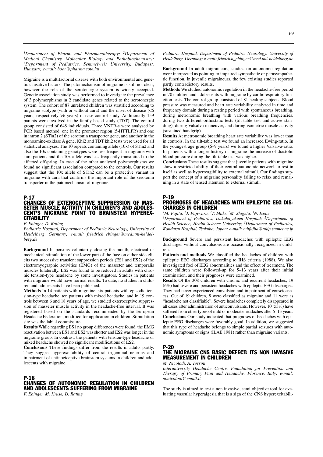*1Department of Pharm. and Pharmacotherapy; 2Department of Medical Chemistry, Molecular Biology and Pathobiochemistry; 3Department of Pediatrics, Semmelweis University, Budapest, Hungary; e-mail: boor@pharma.sote.hu*

Migraine is a multifactorial disease with both environmental and genetic causative factors. The patomechanism of migraine is still not clear, however the role of the serotonergic system is widely accepted. Genetic association study was performed to investigate the prevalence of 3 polymorphisms in 2 candidate genes related to the serotonergic system. The cohort of 87 unrelated children was stratified according to migraine subtype (with or without aura) and the onset of disease (<6 years, respectively >6 years) in case-control study. Additionally 159 parents were involved in the family-based study (TDT). The control group consisted of 648 individuals. Three VNTR-s were analysed by PCR based method, one in the promoter region (5-HTTLPR) and one in intron 2 (STin2) of the serotonin transporter gene, and another in the monoamine-oxidase A gene. Khi2 and TDT khi2 tests were used for all statistical analyses. The 10 repeats containing allele (10x) of STin2 and also the 10x containing genotypes were less frequent in migraine with aura patients and the 10x allele was less frequently transmitted to the affected offspring. In case of the other analysed polymorphisms we found no significant association compared to the controls. Our results suggest that the 10x allele of STin2 can be a protective variant in migraine with aura that confirms the important role of the serotonin transporter in the patomechanism of migraine.

#### P-17

# CHANGES OF EXTEROCEPTIVE SUPPRESSION OF MAS-SETER MUSCLE ACTIVITY IN CHILDREN'S AND ADOLES CENT'S MIGRAINE POINT TO BRAINSTEM HYPEREX-**CITABILITY**

*F. Ebinger, D. Rating*

*Pediatric Hospital, Department of Pediatric Neurology, University of Heidelberg, Germany; e-mail: friedrich\_ebinger@med.uni-heidelberg.de*

**Background** In persons voluntarily closing the mouth, electrical or mechanical stimulation of the lower part of the face on either side elicits two successive transient suppression periods (ES1 and ES2) of the electromyographic activities (EMG) of the masseter and temporalis muscles bilaterally. ES2 was found to be reduced in adults with chronic tension-type headache by some investigators. Studies in patients with migraine would have normal results. To date, no studies in children and adolescents have been published.

**Methods** In 14 patients with migraine, six patients with episodic tension-type headache, ten patients with mixed headache, and in 19 controls between 6 and 18 years of age, we studied exteroceptive suppression of masseter muscle activity in the headache-free interval. It was registered based on the standards recommended by the European Headache Federation, modified for application in children. Stimulation site was the labial commissure.

**Results** While regarding ES1 no group differences were found, the EMG reactivation between ES1 and ES2 was shorter and ES2 was longer in the migraine group. In contrast, the patients with tension-type headache or mixed headache showed no significant modifications of ES2.

**Conclusions** These findings differ from the results in adults partly. They suggest hyperexcitability of central trigeminal neurons and impairment of antinociceptive brainstem systems in children and adolescents with migraine.

# P-18 CHANGES OF AUTONOMIC REGULATION IN CHILDREN AND ADOLESCENTS SUFFERING FROM MIGRAINE

*F. Ebinger, M. Kruse, D. Rating*

*Pediatric Hospital, Department of Pediatric Neurology, University of Heidelberg, Germany; e-mail: friedrich\_ebinger@med.uni-heidelberg.de*

**Background** In adult migraineurs, studies on autonomic regulation were interpreted as pointing to impaired sympathetic or parasympathetic function. In juvenile migraineurs, the few existing studies reported partly contradictory results.

**Methods** We studied autonomic regulation in the headache-free period in 70 children and adolescents with migraine by cardiorespiratory function tests. The control group consisted of 81 healthy subjects. Blood pressure was measured and heart rate variability analyzed in time and frequency domain during a resting period with spontaneous breathing, during metronomic breathing with various breathing frequencies, during two different orthostatic tests (tilt-table test and active standing), during Valsalva maneuver, and during isometric muscle activity (sustained handgrip).

**Results** At metronomic breathing heart rate variability was lower than in controls. In the tilt-table test we found an increased Ewing-ratio. In the youngest age group (6–9 years) we found a higher Valsalva-ratio. In patients with a longer history of migraine the increase of diastolic blood pressure during the tilt-table test was higher.

**Conclusions** These results suggest that juvenile patients with migraine show a restricted ability of their central autonomic network to rest in itself as well as hyperreagibility to external stimuli. Our findings support the concept of a migraine personality failing to relax and remaining in a state of tensed attention to external stimuli.

### P-19 PROGNOSES OF HEADACHES WITH EPILEPTIC EEG DIS-CHARGES IN CHILDREN

*1M. Fujita, 2J. Fujiwara, 1T. Maki, 1M. Shigeta, 3N. Isobe*

*1Department of Pediatrics, Tsukubagakuen Hospital; 2Department of Health Science, Health Science University; 3Department of Pediartics, Kandatsu Hospital, Tsukuba, Japan; e-mail: mitfujita@tulip.sannet.ne.jp*

**Background** Severe and persistent headaches with epileptic EEG discharges without convulsions are occasionally recognized in children.

**Patients and methods** We classified the headaches of children with epileptic EEG discharges according to IHS criteria (1988). We also investigated foci of EEG abnormalities and the effect of treatment. The same children were followed-up for 5–13 years after their initial examination, and their prognoses were examined.

**Results** Of the 308 children with chronic and recurrent headaches, 19 (6%) had severe and persistent headaches with epileptic EEG discharges. They had never experienced convulsion and impairment of consciousness. Out of 19 children, 8 were classified as migraine and 11 were as "headache not classifiable". Severe headaches completely disappeared in all cases after administration of anticonvulsants. However, 10 (53%) have suffered from other types of mild or moderate headaches after 5–13 years. **Conclusions** Our study indicated that prognoses of headaches with epileptic EEG discharges were favorably good. In addition, we suggested that this type of headache belongs to simple partial seizures with autonomic symptoms or signs (ILAE 1981) rather than migraine variants.

P-20

# THE MIGRAINE CNS BASIC DEFECT: ITS NON INVASIVE MEASUREMENT IN CHILDREN

*M. Nicolodi, A. Torrini*

*Interuniversity Headache Centre, Foundation for Prevention and Therapy of Primary Pain and Headache, Florence, Italy; e-mail: m.nicolodi@email.it*

The study is aimed to test a non invasive, semi objective tool for evaluating vascular hyperalgesia that is a sign of the CNS hyperexcitabili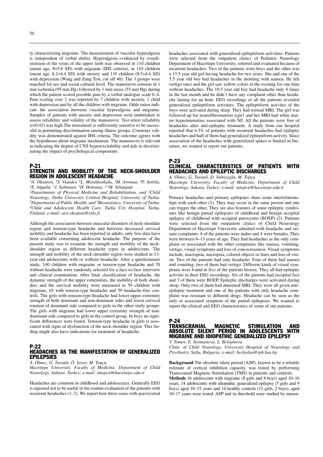ty characterizing migraine. The measurement of vascular hyperalgesia is independent of verbal ability. Hyperalgesia evidenced by overdistension of the veins of the upper limb was observed in 110 children (mean age, 8+5.6 SD) with migraine (IHS criteria), in 110 children (mean age, 8.2+4.4 SD) with anxiety and 110 children (8.5+4.6 SD) with depression (Wang and Zung Test, cut off 40). The 3 groups were matched for sex and social-cultural level. The manoeuvre consists in 1 min ischemia (95 mm Hg) followed by 1 min stasis (55 mm Hg) during which the patient scored possible pain by a verbal analogue scale  $0-4$ . Pain scoring over 2 was reported by 7 children with anxiety, 1 child with depression and by all the children with migraine. Odds ratios indicate the association between vascular hyperalgesia and migraine. Samples of patients with anxiety and depression were undertaken to assess reliability and validity of the manoeuvre. Test-retest reliability (r=0.92) was high.The instrument is sufficiently sensitive to be successful in permitting discrimination among illness groups. Construct validity was demonstrated against IHS criteria. The outcome agrees with the hypotheses about migraine mechanism. The manoeuvre is relevant in indicating the degree of CNS hyperexcitability and aids in discriminating the impact of psychological components.

#### P-21 STRENGTH AND MOBILITY OF THE NECK-SHOULDER REGION IN ADOLESCENT HEADACHE

*1A. Oksanen, 1S. Viander, 2L. Metsähonkala, 3M. Aromaa, 4P. Anttila, 1E. Jäppilä, 1J. Salminen, 5H. Helenius, 2,3M. Sillanpää*

*1Departments of Physical Medicine and Rehabilitation, and 2Child Neurology, Turku University Central Hospital, University of Turku; 3Departments of Public Health, and 5Biostatistics, University of Turku; 4Child and Adolescent Health Care, Turku City Hospital, Turku, Finland; e-mail: airi.oksanen@tyks.fi*

Although the association between muscular disorders of neck-shoulder region and tension-type headache and between decreased cervical mobility and headache has been reported in adults, only few data have been available conserning adolescent headache. The purpose of the present study was to examine the strength and mobility of the neckshoulder region in different headache types in adolescents. The strength and mobility of the neck-shoulder region were studied in 13 year-old adolescents with or without headache. After a questionnaire study, 140 children with migraine or tension-type headache and 70 without headache were randomly selected for a face-to-face interview and clinical examination. After final classification of headache, the dynamic strength of the upper extremities, the mobility of both shoulders and the cervical mobility were measured in 59 children with migraine, 65 with tension-type headache and 59 headache-free controls. The girls with tension-type headache had lower upper extremity strength of both dominant and non-dominant sides and lower cervical rotation of dominant side compared to girls in the other study groups. The girls with migraine had lower upper extremity strength of nondominant side compared to girls in the control group. In boys no significant differences were found. Tension-type headache in girls is associated with signs of dysfunction of the neck-shoulder region. This finding might also have indications for treatment of headache.

# P-22 HEADACHES AS THE MANIFESTATION OF GENERALIZED EPILEPSIES

*A. Ölmez, G. Turanli, Ö. Soyer, M. Topçu*

*Hacettepe University, Faculty of Medicine, Department of Child Neurology, Ankara, Turkey; e-mail: mtopcu@hacettepe.edu.tr*

Headaches are common in childhood and adolescence. Generally EEG is reported not to be useful in the routine evaluation of the patients with recurrent headaches (1, 2). We report here three cases with paroxysmal

headaches associated with generalized epileptiform activities. Patients were selected from the outpatient clinics of Pediatric Neurology Department of Hacettepe University, referred and evaluated because of recurrent headaches. Two of the patients were boys and the other was a 13.5 year old girl having headache for two years. She and one of the 5.5 year old boy had headaches in the morning with nausea. He felt vertigo once and the girl saw yellow colors in the evening for one time without headaches. The 10.5 year old boy had headache only 4 times in the last month and he didn't have any complaint other than headache lasting for an hour. EEG recordings of all the patients revealed generalized epileptiform activities. The epileptiform activites of the boys were activated during sleep. They had normal MRI. The girl was followed up for neurofibromatosis type1 and her MRI had white matter hyperintensities associated with NF. All the patients were free of headaches after anti-epileptic treatment. A study from our hospital reported that 6.5% of patients with recurrent headaches had epileptic headaches and half of them had generalized epileptiform activity. Since association of the headaches with generalized spikes is limited in literature, we wanted to report our patients.

# P-23 CLINICAL CHARACTERISTICS OF PATIENTS WITH HEADACHES AND EPILEPTIC DISCHARGES

*A. Ölmez, G. Turanli, D. Yalnizoglu, M. Topçu Hacettepe University, Faculty of Medicine, Department of Child Neurology, Ankara, Turkey; e-mail: mtopcu@hacettepe.edu.tr*

Primary headaches and primary epilepsies share some interrelationships with each other (1). They may occur in the same person and one can trigger the other. They are also features of some epileptic syndromes like benign partial epilepsies of childhood and benign occipital epilepsy of childhood with occipital paroxysms (BOEP) (2). Patients were selected from the outpatient clinics of Child Neurology Department of Hacettepe University admitted with headache and seizure complaints. 6 of the patients were males and 4 were females. They were between 6–13 years of age. They had headaches as the only complaint or associated with the other complaints like nausea, vomiting, vertigo, visual symptoms and loss of concsciousness. Visual symptoms include, macropsia, micropsia, colored objects or lines and loss of vision. Two of the patients had only headache. Four of them had nausea and vomiting, two of them had vertigo. Different kinds of visual symptoms were found in five of the patients history. They all had epileptic activitis in their EEG recordings. Six of the patients had occipital foci and 3 of them were BOEP. Epileptic discharges were activated during sleep. Only two of them had abnormal MRI. They were all given antiepileptic treatment and one of the patients with only headache complaint was resistant to different drugs. Headache can be seen as the only or associated symptom of the partial epilepsies. We wanted to report the clinical and EEG characteristics of some of our patients.

# P-24<br>Transcranial TRANSCRANIAL MAGNETIC STIMULATION AND ABSOLUTE SILENT PERIOD IN ADOLESCENTS WITH MIGRAINE AND IDIOPATHIC GENERALIZED EPILEPSY

*V. Tomov, E. Stoimenova, L. Belopitova*

*Clinic of Child Neurology, University Hospital of Neurology and Psychiatry, Sofia, Bulgaria; e-mail: bozholan@iph.bas.bg*

**Background** The absolute silent period (ASP), known to be a reliable estimate of cortical inhibition capacity, was tested by performing Transcranial Magnetic Stimulation (TMS) in patients and controls.

**Methods** 16 adolescents with migraine (8 girls and 8 boys) aged 10–16 years, 14 adolescents with idiopathic generalized epilepsy (5 girls and 9 boys) aged 10–15 years and 14 healthy controls (12 girls, 2 boys), aged 10–17 years were tested. ASP and its threshold were studied by measu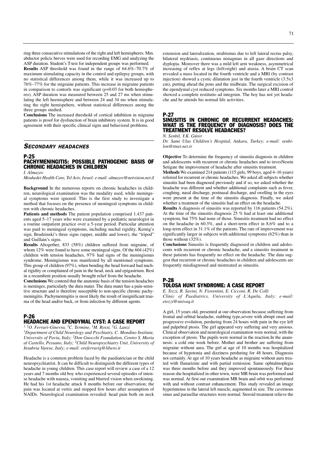ring three consecutive stimulations of the right and left hemispheres. Mm. abductor policis breves were used for recording EMG and analyzing the ASP duration. Student's T-test for independent groups was performed.

**Results** ASP threshold was found in the range of 64.6%–70.7% of maximum stimulating capacity in the control and epilepsy groups, with no statistical differences among them, while it was increased up to 76%–77% for the migraine patients. This increase in migraine patients in comparison to contorls was significant  $(p=0.03$  for both hemispheres). ASP duration was measured between 25 and 27 ms when stimulating the left heemisphere and between 24 and 34 ms when stimulating the right hemispehere, without statistical differences anong the three groups studied.

**Conclusions** The increased threshold of cortical inhibition in migraine patients is proof for dysfunction of brain inhibitory system. It is in good agreement with their specific clinical signs and behavioral problems.

# *SECONDARY HEADACHES*

# P-25 PACHYMENINGITIS: POSSIBLE PATHOGENIC BASIS OF CHRONIC HEADACHES IN CHILDREN

*I. Almazov*

*Meuhedet Health Care, Tel Aviv, Israel; e-mail: almazov@netvision.net.il*

**Background** In the numerous reports on chronic headaches in children, neurological examination was the modality used, while meningeal symptoms were ignored. This is the first study to investigate a method that focuses on the presence of meningeal symptoms in children with chronic headaches.

**Patients and methods** The patient population comprised 1.437 patients aged 5–17 years who were examined by a pediatric neurologist in a routine outpatient practice over a 5-year period. Particular attention was paid to meningeal symptoms, including nuchal rigidity, Kernig's sign, Brudzinski's three signs (upper, middle and lower), the "tripod" and Guillain's signs.

**Results** Altogether, 833 (58%) children suffered from migraine, of whom 12% were found to have some meningeal signs. Of the 604 (42%) children with tension headaches, 97% had signs of the meningismus syndrome. Meningismus was manifested by all mentioned symptoms. This group of children (97%), when bending the head forward had nuchal rigidity or complained of pain in the head, neck and epigastrium. Rest in a recumbent position usually brought relief from the headache.

**Conclusions** We contend that the anatomic basis of the tension headaches is meninges, particularly the dura mater. The dura mater has a pain-sensitive structure and is therefore susceptible to non-specific chronic pachymeningitis. Pachymeningitis is most likely the result of insignificant trauma of the head and/or back, or from infection by different agents.

# P-26 HEADACHE AND EPENDYMAL CYST: A CASE REPORT

*1, 2O. Ferrari-Ginevra, 3C. Termine, 1M. Rossi, 1G. Lanzi 1Department of Child Neurology and Psychiatry, C. Mondino Institute, University of Pavia, Italy; 2Don Gnocchi Foundation, Centro S. Maria*

*al Castello, Pessano, Italy; 3Child Neuropsychiatry Unit, University of Insubria Varese, Italy; e-mail: oreferrarig@libero.it*

Headache is a common problem faced by the paediatrician or the child neuropsychiatrist. It can be difficult to distinguish the different types of headache in young children. This case report will review a case of a 12 years and 7 months old boy who experienced several episodes of intense headache with nausea, vomiting and blurred vision when awekining. He had his 1st headache attack 8 months before our observation; the pain was located at vertix and stopped few hours after assumption of NAIDs. Neurological examination revealed: head pain both on neck

extension and lateralization, strabismus due to left lateral rectus palsy, bilateral mydriasis, continuous nistagmus in all gaze directions and dyplopia. Moreover there was a mild left arm weakness, asymmetrical increasing of reflex at legs (left>right) and ataxia. A brain CT scan revealed a mass located in the fourth ventricle and a MRI (by contrast injection) showed a cystic dilatation just in the fourth ventricle (3.5x3 cm), putting ahead the pons and the midbrain. The surgical excision of the ependymal cyst reduced symptoms. Six months later a MRI control showed a complete restitutio ad integrum. The boy has not yet headache and he attends his normal life activities.

# P-27

# SINUSITIS IN CHRONIC OR RECURRENT HEADACHES: WHAT IS THE FREQUENCY OF DIAGNOSIS? DOES THE TREATMENT RESOLVE HEADACHES?

*N. Senbil, Y.K. Gürer*

*Dr. Sami Ulus Children's Hospital, Ankara, Turkey; e-mail: senbilon@ttnet.net.tr*

**Objective** To determine the frequency of sinusitis diagnosis in children and adolescents with recurrent or chronic headaches and to invesNesrin Setigate the improvement of headache after sinusitis treatment.

**Methods** We examined 214 patients (115 girls, 99 boys, aged 4–16 years) referred for recurrent or chronic headaches. We asked all subjects whether sinusitis had been diagnosed previously and if so, we asked whether the headache was different and whether additional complaints such as fever, coughing, nasal discharge, postnasal discharge, and swelling in the eyes were present at the time of the sinusitis diagnosis. Finally, we asked whether a treatment of the sinusitis had an effect on the headache.

**Results** A diagnosis of sinusitis was reported by 116 patients (54.2%). At the time of the sinusitis diagnosis 25 % had at least one additional symptom, but 75% had none of those. Sinusitis treatment had no effect on the headache in 60.3%, and a short-term effect in 8.6% and to a long-term effect in 31.1% of the patients. The rate of improvement was significantly larger in subjects with additional symptoms (62%) than in those without (32%).

**Conclusions** Sinusitis is frequently diagnosed in children and adolescents with recurrent or chronic headache, and a sinusitis treatment in these patients has frequently no effect on the headache. The data suggest that recurrent or chronic headaches in children and adolescents are frequently misdiagnosed and mistreated as sinusitis.

# P-28

## TOLOSA HUNT SYNDROME: A CASE REPORT *E. Tozzi, R. Savini, N. Fiorentini, E. Cicconi, R. De Colli*

*Clinic of Paediatrics, University of L'Aquila, Italy; e-mail: etozzi@univaq.it*

A girl, 15 years old, presented at our observation because suffering from frontal and orbital headache, stabbing type,severe with abrupt onset and progressive evolution, perduring from 24 hours with pain in the eye left and palpebral ptosis. The girl appeared very suffering and very ansious. Clinical observation and neurological examination were normal, with the exception of ptosis. The pupils were normal in the reaction.In the anamnesis: a cold one week before. Mother and brother are suffering from migraine without aura. The girl at age of 10 months was hospitalized because of hypotonia and dizziness perduring for 48 hours. Diagnosis not certainly. At age of 10 years headache as migraine without aura treated with flunarizine and with partial remission. Same ophtalmoplegia was three months before and they improved spontaneously. For these reason she hospitalized in other town, were MR brain was performed and was normal. At first our examination MR brain and orbit was performed with and without contrast enhancement. This study revealed an image hyperintense in the lateral left muscle, augmented in size. The cavernous sinus and parasellar structures were normal. Steroid treatment relieve the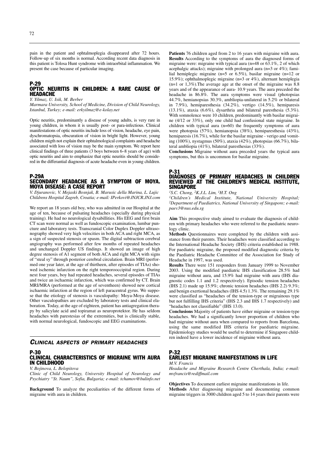pain in the patient and ophtalmoplegia disappeared after 72 hours. Follow-up of six months is normal. According recent data diagnosis in this patient is Tolosa Hunt syndrome with intraorbital inflammation. We present the case because of particular imaging.

### P-29 OPTIC NEURITIS IN CHILDREN: A RARE CAUSE OF HEADACHE

*Y. Yilmaz, U. Isik, M. Berber*

*Marmara University, School of Medicine, Division of Child Neurology, Istanbul, Turkey; e-mail: erkyilmaz@e-kolay.net*

Optic neuritis, predominantly a disease of young adults, is very rare in young children, in whom it is usually post- or para-infectious. Clinical manifestations of optic neuritis include loss of vision, headache, eye pain, dyschromatopsia, obscuration of vision in bright light. However, young children migth not explain their ophtalmological complaints and headache associated with loss of vision may be the main symptom. We report here clinical findings of three patients (3 boys between 6–8 years of age) with optic neuritis and aim to emphasize that optic neuritis should be considered in the differantial diagnosis of acute headache even in young children.

## P-29A SECONDARY HEADACHE AS A SYMPTOM OF MOYA. MOYA DISEASE: A CASE REPORT

*V. Djuranovic, V. Mejaski Bosnjak, B. Marusic della Marina, L. Lujic Childrens Hospital Zagreb, Croatia; e-mail: IPerkovi@JNJCR.JNJ.com*

We report an 18 years old boy, who was admitted in our Hospital at the age of ten, because of pulsating headaches (specially during physical training). He had no neurological dysabillities. His EEG and first brain CT scan were normal as well as fundoscopic examination, lumbar puncture and laboratory tests. Transcranial Color Duplex Doppler ultrasonography showed very high velocities in both ACA and right MCA, as a sign of suspected stenosis or spasm. The digital subtraction cerebral angiography was performed after few months of repeated headaches and unchanged Doppler US findings. It showed an image of high degree stenosis of A1 segment of both ACA and right MCA with signs of "steal sy" through posterior cerebral circulation. Brain MRI (performed one year later, at the age of thirtheen, after episodes of TIAs) showed ischemic infarction on the right temporooccipital region. During next four years, boy had repeated headaches, several episodes of TIAs and twice an ischaemic infarction, which was confirmed by CT. Brain MRI/MRA (performed at the age of seventheen) showed new cortical ischaemic infarction at the region of left paracentral gyrus. We suppose that the etiology of stenosis is vasculopathy: Moya-Moya disease. Other vasculopathies are excluded by laboratory tests and clinical elaboration. Today, at the age of eighteen, patient has antiagregation therapy by salicylate acid and topiramat as neuroprotektor. He has seldom headaches with parestesias of the extremities, but is clinically stable, with normal neurological, fundoscopic and EEG examinations.

# *CLINICAL ASPECTS OF PRIMARY HEADACHES*

# P-30 CLINICAL CHARACTERISTICS OF MIGRAINE WITH AURA IN CHILDHOOD

# *V. Bojinova, L. Belopitova*

*Clinic of Child Neurology, University Hospital of Neurology and Psychiatry "St. Naum", Sofia, Bulgaria; e-mail: tchamov@bulinfo.net*

**Background** To analyze the peculiarities of the different forms of migraine with aura in children.

**Patients** 76 children aged from 2 to 16 years with migraine with aura. **Results** According to the symptoms of aura the diagnosed forms of migraine were: migraine with typical aura (n=48 or 63.1%, 2 of which acephalgic attacks); migraine with prolonged aura (n=3 or 4%); familial hemiplegic migraine (n=5 or 6.5%), basilar migraine (n=12 or 15.9%); ophthalmoplegic migraine (n=3 or 4%), alternant hemiplegia (n=1 or 1,3%).The average age at the onset of the migraine was 8.8 years and of the appearance of aura- 10.9 years. The aura preceded the headache in 86.8%. The aura symptoms were visual (photopsias 44.7%, hemianopsias 30.3%, ambliopia-unilateral in 5.2% or bilateral in 7.9%), hemiparesthesia (34.2%), vertigo (14.5%), hemiparesis (13.1%), ataxia (6.6%), dysarthria and bilateral paresthesia (5.3%). With somnolence were 10 children, predominantly with basilar migraine (4/12 or 33%), only one child had confusional state migraine. In children with typical aura (n=60) the frequently symptoms of aura were photopsia (57%), hemianopsia (38%), hemiparesthesia (43%), hemiparesis (16.7%), while for the basilar migraine - verigo and vomiting (100%), nystagmus (50%), ataxia (42%), photopsias (66.7%), bilateral ambliopia (41%), bilateral paresthesias (33%).

**Conclusions** Migraine without aura preceded years the typical aura symptoms, but this is uncommon for basilar migraine.

#### P-31 DIAGNOSES OF PRIMARY HEADACHES IN CHILDREN REVIEWED AT THE CHILDREN'S MEDICAL INSTITUTE, **SINGAPORE**

*1S.C. Chong, 2K.J.L. Lim, 1H.T. Ong*

*1Children's Medical Institute, National University Hospital; 2Department of Paediatrics, National University of Singapore; e-mail: paev3@nus.edu.sg*

**Aim** This prospective study aimed to evaluate the diagnosis of children with primary headaches who were referred to the paediatric neurology clinic.

**Methods** Questionnaires were completed by the children with assistance from their parents. Their headaches were classified according to the International Headache Society (IHS) criteria established in 1988. For paediatric migraine, the proposed modified diagnostic criteria by the Paediatric Headache Committee of the Association for Study of Headache in 1997, was used.

**Results** There were 151 responders from January 1999 to November 2003. Using the modified paediatric IHS classification 28.5% had migraine without aura, and 15.9% had migraine with aura (IHS diagnostic codes 1.1 and 1.2 respectively). Episodic tension headaches (IHS 2.1) made up 15.9%; chronic tension headaches (IHS 2.2) 9.3%; and benign exertional headaches (IHS 4.5) 1.3%. The remaining 29.1% were classified as "headaches of the tension-type or migrainous type but not fulfilling IHS criteria" (IHS 2.3 and IHS 1.7 respectively) and "headaches not classifiable" (IHS 13.0).

**Conclusions** Majority of patients have either migraine or tension-type headaches. We had a significantly lower proportion of children who had migraine without aura when compared to reports from Barcelona, using the same modified IHS criteria for paediatric migraine. Epidemiology studies would be useful to determine if Singapore children indeed have a lower incidence of migraine without aura.

#### P-32 EARLIEST MIGRAINE MANIFESTATIONS IN LIFE *M.V. Francis*

*Headache and Migraine Research Centre Cherthala, India; e-mail: mvfrancis@rediffmail.com*

**Objectives** To document earliest migraine manifestations in life. **Methods** After diagnosing migraine and documenting common migraine triggers in 3000 children aged 5 to 14 years their parents were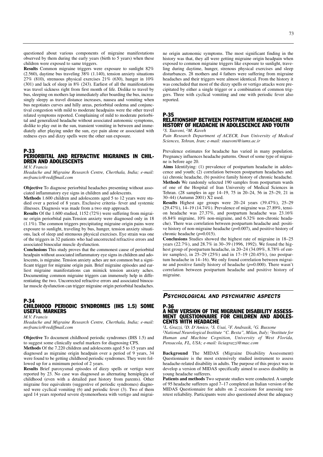questioned about various components of migraine manifestations observed by them during the early years (birth to 5 years) when these children were exposed to same triggers.

**Results** Common migraine triggers were exposure to sunlight 82% (2.560), daytime bus traveling 38% (1.140), tension anxiety situations 27% (810), strenuous physical exercises 21% (630), hunger in 10% (301) and lack of sleep in 8% (243). Earliest of all the manifestations was travel sickness right from first month of life. Dislike to travel by bus, sleeping on mothers lap immediately after boarding the bus, increasingly sleepy as travel distance increases, nausea and vomiting when bus negotiates curves and hilly areas, periorbital oedema and conjunctival congestion with mild to moderate headpains were the other travel related symptoms reported. Complaining of mild to moderate periorbital and generalized headache without associated autonomic symptoms, dislike to play out in the sun, transient vomiting in between and immediately after playing under the sun, eye pain alone or associated with redness eyes and dizzy spells were the other sun exposure.

# P-33 PERIORBITAL AND REFRACTIVE MIGRAINES IN CHIL-DREN AND ADOLESCENTS

*M.V. Francis*

*Headache and Migraine Research Centre, Cherthala, India; e-mail: mvfrancis@rediffmail.com*

**Objective** To diagnose periorbital headaches presenting without associated inflammatory eye signs in children and adolescents.

**Methods** 1.600 children and adolescents aged 5 to 12 years were studied over a period of 8 years. Exclusive criteria- fever and systemic illnesses. Diagnosis was made from a two step approach.

**Results** Of the 1.600 studied, 1152 (72%) were suffering from migraine origin periorbital pain.Tension anxiety were diagnosed only in 18 (1.1%). The common triggers precipitating migraine origin pains were exposure to sunlight, traveling by bus, hunger, tension anxiety situations, lack of sleep and strenuous physical exercises. Eye strain was one of the triggers in 32 patients who had uncorrected refractive errors and associated binocular muscle dysfunction.

**Conclusions** This study proves that the commonest cause of periorbital headpain without associated inflammatory eye signs in children and adolescents, is migraine. Tension anxiety aches are not common but a significant trigger for migraine origin pain. Brief migraine episodes and earliest migraine manifestations can mimick tension anxiety aches. Documenting common migraine triggers can immensely help in differentiating the two. Uncorrected refractive errors and associated binocular muscle dysfunction can trigger migraine origin periorbital headaches.

### P-34 CHILDHOOD PERIODIC SYNDROMES (IHS 1.5) SOME USEFUL MARKERS

*M.V. Francis*

*Headache and Migraine Research Centre, Cherthala, India; e-mail: mvfrancis@rediffmail.com*

**Objective** To document childhood periodic syndromes (IHS 1.5) and to suggest some clinically useful markers for diagnosing CPS.

**Methods** Of the 7.220 children and adolescents aged 5 to 15 years and diagnosed as migraine origin headpain over a period of 9 years, 34 were found to be getting childhood periodic syndromes. They were followed up for a minimum period of 2 years.

**Results** Brief paroxysmal episodes of dizzy spells or vertigo were reported by 23. No case was diagnosed as alternating hemiplegia of childhood (even with a detailed past history from parents). Other migraine free equivalents (suggestive of periodic syndromes) diagnosed were cyclical vomiting (6) and periodic fever (3). Two of them aged 14 years reported severe dysmenorhoea with vertigo and migraine origin autonomic symptoms. The most significant finding in the history was that, they all were getting migraine origin headpain when exposed to common migraine triggers like exposure to sunlight, traveling during daytime, hunger, strenous physical exercises and sleep disturbances. 28 mothers and 4 fathers were suffering from migraine headaches and their triggers were almost identical. From the history it was concluded that most of the dizzy spells or vertigo attacks were precipitated by either a single trigger or a combination of common triggers. Three with cyclical vomiting and one with periodic fever also reported.

# P-35

#### RELATIONSHIP BETWEEN POSTPARTUM HEADACHE AND HISTORY OF HEADACHE IN ADOLESCENCE AND YOUTH *1S. Taavoni, 2M. Kaveh*

*Pain Research Department of ACECR, Iran University of Medical Sciences, Tehran, Iran; e-mail: staavoni@iums.ac.ir*

Prevalence estimates for headache has varied in many population. Pregnancy influences headache patterns. Onset of some type of migraine is before age 20.

**Aims** Identifying: (1) prevalence of postpartum headache in adolescence and youth; (2) correlation between postpartum headaches and: (a) chronic headache, (b) positive family history of chronic headache. **Methods** We randomly selected 190 samples from postpartum wards of one of the Hospital of Iran University of Medical Sciences in Tehran. (28 samples in age 14–19, 75 in 20–24, 56 in 25–29, 21 in 30–44) (Autumn 2001) X2 used.

**Results** Highest age groups were 20–24 years (39.47%), 25–29 (29.47%), 14–19 (14.74%). Prevalence of migraine was 27.89%, tension headache was 27.37%, and postpartum headache was 23.16% (6.84% migraine, 10% non-migraine, and 6.32% non-chronic headache). There was correlation between postpartum headache and: positive history of non-migraine headache (*p*=0.007), and positive history of chronic headache (*p*=0.015).

**Conclusions** Studies showed the highest rate of migraine in 18–25 years (22.7%), and 28.7% in 30–39 (1996, 1992). We found the highest group of postpartum headache, in 20–24 (34.09%, 8.78% of entire samples), in 25–29 (25%) and in 17–19 (20.45%), (no postpartum headache in 14–16). We only found correlation between migraine and positive family history of headache (*p*=0.000). There wasn't correlation between postpartum headache and positive history of migraine.

# *PSYCHOLOGICAL AND PSYCHIATRIC ASPECTS*

## P-36 A NEW VERSION OF THE MIGRAINE DISABILITY ASSESS-MENT QUESTIONNAIRE FOR CHILDREN AND ADOLES-CENTS WITH HEADACHE

*1L. Grazzi, 1D. D'Amico, 1S. Usai, 2F. Andrasik, 1G. Bussone 1National Neurological Institute "C. Besta", Milan, Italy; 2Institute for Human and Machine Cognition, University of West Florida, Pensacola, FL, USA; e-mail: liciagrazzi@mac.com*

**Background** The MIDAS (Migraine Disability Assessment) Questionnaire is the most extensively studied instrument to assess headache-related disability in adults. The purpose of this project was to develop a version of MIDAS specifically aimed to assess disability in young headache sufferers.

**Patients and methods** Two separate studies were conducted. A sample of 95 headache sufferers aged 7–17 completed an Italian version of the MIDAS Questionnaire for adults on 2 occasions for assessing testretest reliability. Participants were also questioned about the adequacy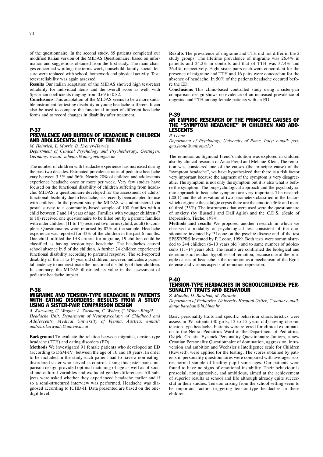of the questionnaire. In the second study, 85 patients completed our modified Italian version of the MIDAS Questionnaire, based on information and suggestions obtained from the first study. The main changes concerned wording: the terms work, household, family, social, leisure were replaced with school, homework and physical activity. Testretest reliability was again assessed.

**Results** Our italian adaptation of the MIDAS showed high test-retest reliability for individual items and the overall score as well, with Spearman coefficients ranging from 0.69 to 0.82.

**Conclusions** This adaptation of the MIDAS seems to be a more suitable instrument for testing disability in young headache sufferers. It can also be used to compare the functional impact of different headache forms and to record changes in disability after treatment.

# P-37 PREVALENCE AND BURDEN OF HEADACHE IN CHILDREN AND ADOLESCENTS: UTILITY OF THE MIDAS

*M. Heinrich, L. Morris, B. Kröner-Herwig*

*Department of Clinical Psychology and Psychotherapy, Göttingen, Germany; e-mail: mheinri@uni-goettingen.de*

The number of children with headache experience has increased during the past two decades. Estimated prevalence rates of pediatric headache vary between 3.5% and 56%. Nearly 20% of children and adolescents experience headache once or more per week. Very few studies have focused on the functional disability of children suffering from headache. MIDAS, a questionnaire developed for the assessment of adults' functional disability due to headache, has recently been adapted for use with children. In the present study the MIDAS was administered via postal survey to a community-based sample of 100 families with a child between 7 and 14 years of age. Families with younger children (7 to 10) received one questionnaire to be filled out by a parent; families with older children (11 to 14) received two forms (child, adult) to complete. Questionnaires were returned by 82% of the sample. Headache experience was reported for 43% of the children in the past 6 months. One child fulfilled the IHS criteria for migraine, 19 children could be classified as having tension-type headache. The headaches caused school absence in 5 of the children. A further 24 children experienced functional disability according to parental response. The self-reported disability of the 11 to 14 year old children, however, indicates a parental tendency to underestimate the functional disability of their children. In summary, the MIDAS illustrated its value in the assessment of pediatric headache impact.

#### P-38

# MIGRAINE AND TENSION-TYPE HEADACHE IN PATIENTS WITH EATING DISORDERS: RESULTS FROM A STUDY USING A SISTER-PAIR COMPARISON DESIGN

*A. Karwautz, G. Wagner, A. Zormann, C. Wöber, Ç. Wöber-Bingöl Headache Unit, Department of Neuropsychiatry of Childhood and Adolescents, Medical University of Vienna, Austria; e-mail: andreas.karwautz@univie.ac.at*

**Background** To evaluate the relation between migraine, tension-type headache (TTH) and eating disorders (ED).

**Methods** We investigated 91 female patients who developed an ED (according to DSM-IV) between the age of 10 and 18 years. In order to be included in the study each patient had to have a non-eatingdisordered sister who served as control. Using this sister-pair comparison design provided optimal matching of age as well as of social and cultural variables and excluded gender differences. All subjects were asked whether they experienced headache earlier and if so a semi-structured interview was performed. Headache was diagnosed according to ICHD-II. Data presented are based on the onedigit level.

**Results** The prevalence of migraine and TTH did not differ in the 2 study groups. The lifetime prevalence of migraine was 26.4% in patients and 24.2% in controls and that of TTH was 37.4% and 26.4%, respectively. Eight sister pairs each were concordant for the presence of migraine and TTH and 16 pairs were concordant for the absence of headache. In 50% of the patients headache occured before the ED.

**Conclusions** This clinic-based controlled study using a sister-pair comparison design shows no evidence of an increased prevalence of migraine and TTH among female patients with an ED.

# P-39

### AN EMPIRIC RESEARCH OF THE PRINCIPLE CAUSES OF THE "SYMPTOM HEADACHE" IN CHILDREN AND ADO-LESCENTS

*P. Leone*

*Department of Psychology, University of Rome, Italy; e-mail: pasqua.leone@uniroma1.it*

The remotion as Sigmund Freud's intuition was explored in children also by clinical research of Anna Freud and Melanie Klein. The remotion was considered one of the causes (the principle cause) of the "symptom headache", we have hypothesized that there is a risk factor very important because the augment of the symptom is very disagreeable. The symptom is not only the symptom but it is also what is before the symptom. The biopsychological approach and the psychodynamic approach to headache symptom are very important. The research (2001) and the observation of two parameters classified in the factors which originate the cefalgic crysis there are the emotion 36% and mental tired (33%). The instruments that were used were the questionnaire of anxiety (by Busnelli and Dall'Aglio) and the C.D.S. (Scale of Depression, Tische, 1984).

**Methods and results** We proposed another research in which we observed a modality of psychological test consistent of the questionnaire invented by P.Leone on the psychic disease and of the test SPSSRPRS invented by P. Leone, 1999. Both tests were somministreded to 244 children (6–10 years old ) and to same number of adolescents (11–14 years old). The results are confirmed the biological and deterministic freudian hypothesis of remotion, because one of the principle causes of headache is the remotion as a mechanism of the Ego's defense and various aspects of remotion-repression.

# P-40

# TENSION-TYPE HEADACHES IN SCHOOLCHILDREN: PER-SONALITY TRAITS AND BEHAVIOUR

*Z. Mandic, D. Baraban, M. Boranic*

*Department of Pediatrics, University Hospital Osijek, Croatia; e-mail: dunja.baraban@hi.hinet.hr*

Basic personality traits and specific behaviour characteristics were assess in 39 patients (30 girls; 12 to 15 years old) having chronic tension-type headache. Patients were referred for clinical examination to the Neural-Pediatrics Ward of the Department of Pediatrics, Osijek, Croatia. Eysenck Personality Questionnaire-Juniors, a new Croatian Personality Questionnaire of domination, aggression, introversion and ambition and Wechsler s Intelligence scale for Children (Revised), were applied for the testing. The scores obtained by patients in personality questionnaires were compared with averages scores normal sample of healthy pupil same ages. Our patients were found to have no signs of emotional instability. Their behaviour is prosocial, nonaggressive, and ambitious, aimed at the achievement of superior results at school and life although already quite successful in their studies. Tension arising from the school setting seem to be important factors triggering tension-type headaches in these children.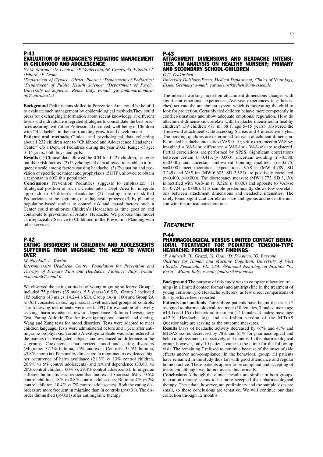# P-41 EVALUATION OF HEADACHE'S PEDIATRIC MANAGEMENT IN CHILDHOOD AND ADOLESCENCE

*1G.M. Marano, 2D. Lendvai, 2P. Verdecchia, 2R. Crenca, 2S. Pittella, 3J. Osborn, 4P. Leone*

*1Department of Gynaec. Obstet. Pueric.; 2Department of Pediatrics; 3Department of Public Health Science; 4Department of Psych., University La Sapienza, Rome, Italy; e-mail: giovannamaria.marano@uniroma1.it*

**Background** Pediatricians skilled in Prevention Area could be helpful to evaluate such management by epidemiological methods.They could press for exchanging information about recent knowledge at different levels and individuate integrated strategies to consolidate the best practices assuring, with other Professional involved, well-being of Children with "Headache", in their surrounding growth and development.

**Patients and methods** Clinical and psychological data collecting about 1.232 children sent to "Childhood and Adolescence Headaches' Center" c/o a Dept. of Pediatrics during the year 2002. Range of age: 3–14 years, both boys and girls.

**Results** (1) Clinical data allowed the ICH for 1.127 children, bringing out their risk factors. (2) Psychological data allowed to establish a frequency scale among factors causing headache. (3) Evaluation and provision of specific treatment and prophylaxis (5HTP), allowed to obtain a response in 80% this population.

**Conclusions** Prevention Pediatrics suggests to emphasize: (1) Strategical position of such a Center into a Dept. Area for integrate approach to Children's Headache; (2) leading role of skilled Pediatricians at the beginning of a diagnostic process; (3) by planning population-based studies to control risk and causal factors, such a Center could monitorize Children's Headaches as time goes on and contribute to prevention of Adults' Headache. We propose this model as irreplaceable Service to Childhood in the Prevention Planning with other services.

# P-42

# EATING DISORDERS IN CHILDREN AND ADOLESCENTS SUFFERING FROM MIGRAINE: THE NEED TO WATCH OVER

*M. Nicolodi, A. Torrini*

*Interuniversity Headache Centre, Foundation for Prevention and Therapy of Primary Pain and Headache, Florence, Italy; e-mail: m.nicolodi@email.it*

We observed the eating attitudes of young migraine sufferers: Group 1 included 75 patients (35 males, 5.5 years+3.6 SD), Group 2 included 105 patients (43 males, 14.2+4.6 SD). Group 1A (n=100) and Group 2A (n=85) consisted in sex, age, social level matched groups of controls. The following instruments were used: TPQ for evaluation of novelty seeking, harm avoidance, reward dependence. Bulimia Investigatory Test, Eating Attitude Test for investigating oral control and dieting, Wang and Zung tests for mood disorders. Tests were adapted to meet children language. Tests were administered before and 1 year after antimigraine prophylaxis. Toronto Alexithymia Scale was administered to the parents of investigated subjects and evidenced no difference in the 4 groups. Coexistence characterized mood and eating disorders (Migraine: 37.7% bulimia, 55% anorexia; Controls: 35.5% bulimia, 43.8% anorexia). Personality dimension in migraineours evidenced higher occurrence of harm avoidance (21.3% vs 13% control children, 20.9% vs 6% control adolescents) and reward dependence (30.6% vs 20% control children, 60% vs 29.4% control adolescents). In migraine sufferers bulimia is less frequent than anorexia (Anorexia: 6% vs 0.5% control children, 18% vs 0.8% control adolescents; Bulimia: 4% vs 2% control children, 10.4% vs 7% control adolescents). Both the eating disorders are more frequent in migraine than in controls (*p*>0.01). The disorder diminished (*p*>0.01) after antimigraine therapy.

# P-43 ATTACHMENT DIMENSIONS AND HEADACHE INTENSI-TIES. AN ANALYSIS ON HEALTHY NURSERY; PRIMARY AND SECONDARY SCHOOL-CHILDREN

*G.G. Ostkirchen*

*University Duisburg-Essen, Medical Department, Clinics of Neurology, Essen, Germany; e-mail: gabriele.ostkirchen@uni-essen.de*

The internal working-model on attachment dimensions changes with significant emotional experiences. Aversive experiences (e.g. headaches) activate the attachment-system which is motivating the child to look for protection. Certainly tied children behave more competently in conflict-situations and show adequate emotional regulation. How do attachment dimensions correlate with headache intensities in healthy children? 139 children <71 m, 68 f, age 5–15 years> answered the Trudewind attachment scale assessing 5 areas and 4 interactive styles. The bonding qualities are determined for each attachment dimension. Estimated headache intensities (VAS 0–10; self-experienced = VAS-se; imagined = VAS-im; difference = VAS-im - VAS-se) are registered. Partial correlations are performed by SPSS. Significant correlations between certain  $(r=0.413, p=0.000)$ , uncertain avoiding  $(r=-0.588,$ *p*=0.000) and uncertain ambivalent bonding qualities. (r=-0.675, *p*=0.000) meet theoretical expectations. VAS-se (MW 4,789, SD 3,249) and VAS-im (MW 6,603, SD 2,321) are positively correlated (r=0.400, *p*=0.000). The discrepancy measure (MW 1,773, SD 3,130) is rectified with VAS-im ( $r=0.326$ ;  $p=0.000$ ) and opposite to VAS-se (r=-0.724, *p*=0.000). This sample predominantly shows low correlations between attachment dimensions and headache intensities. The rarely found significant correlations are ambiguous and not in the unison with theoretical considerations.

# *TREATMENT*

# P-44 PHARMACOLOGICAL VERSUS LIMITED CONTACT BEHAV-IORAL TREATMENT FOR PEDIATRIC TENSION-TYPE HEADACHE: PRELIMINARY FINDINGS

*1F. Andrasik, 2L. Grazzi, 2S. Usai, 2D. D'Amico, 2G. Bussone 1Institute for Human and Machine Cognition, University of West Florida, Pensacola, FL, USA; 2National Neurological Institute "C. Besta", Milan, Italy; e-mail: fandrasik@ihmc.us*

**Background** The purpose of this study was to compare relaxation training (in a limited contact format) and amitriptyline in the treatment of young Tension-Type Headache sufferers, as few direct comparisons of this type have been reported.

**Patients and methods** Thirty-three patients have begun the trial: 17 assigned to pharmacological treatment (10 females, 7 males; mean age =13.1) and 16 to behavioral treatment (12 females, 4 males; mean age =12.9). Headache logs and an Italian version of the MIDAS Questionnaire are serving as the outcome measures.

**Results** Days of headache activity decreased by 67% and 47% and MIDAS scores decreased by 78% and 55% for pharmacological and behavioral treatment, respectively, at 3 months. In the pharmacological group, however, only 10 patients came to the clinic for the follow-up visit. The remaining 7 refused to continue because of the onset of side effects and/or non-compliance. In the behavioral group, all patients have remained in the study thus far, with good attendance and regular home practice. These patients appear to be compliant and accepting of treatment although we did not assess this formally.

**Conclusions** Although the clinical results are similar in both groups, relaxation therapy seems to be more accepted than pharmacological therapy. These data, however, are preliminary and the sample sizes are small, so these conclusions are tentative. We will continue our data collection through 12 months.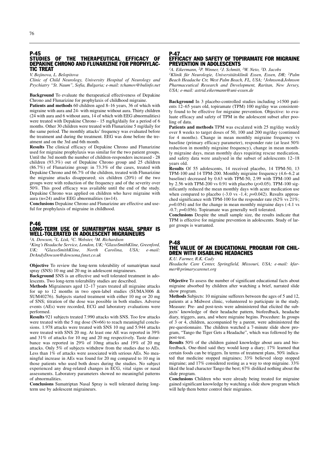# P-45 STUDIES OF THE THERAPEUTICAL EFFICACY OF DEPAKINE CHRONO AND FLUNARIZINE FOR PROPHYLAC-TIC TREAT

*V. Bojinova, L. Belopitova*

*Clinic of Child Neurology, University Hospital of Neurology and Psychiatry "St. Naum", Sofia, Bulgaria; e-mail: tchamov@bulinfo.net*

**Background** To evaluate the therapeutical effectiveness of Depakine Chrono and Flunarizine for prophylaxis of childhood migraine.

Patients and methods 60 children aged 8-16 years, 36 of which with migraine with aura and 24- with migraine without aura. Thirty children  $(24$  with aura and 6 without aura,  $14$  of which with EEG abnormalities) were treated with Depakine Chrono - 15 mg/kg/daily for a period of 6 months. Other 30 children were treated with Flunarizine 5 mg/daily for the same period. The monthly attacks' frequency was evaluated before the treatment and during the treatment. EEG was done before the treatment and on the 3rd and 6th month.

**Results** The clinical efficacy of Depakine Chrono and Flunarizine used for migraine prophylaxis was similar for the two patient groups. Until the 3rd month the number of children-responders increased - 28 children (93.3%) out of Depakine Chrono group and 25 children (86.7%) of Flunarizine group: in 73.3% of the cases, treated with Depakine Chrono and 66.7% of the children, treated with Flunarizine the migraine attacks disappeared; six children (20%) of the two groups were with reduction of the frequency and of the severity over 50%. This good efficacy was available until the end of the study. Depakine Chrono was applied on children who have migraine with aura (n=24) and/or EEG abnormalities (n=14).

**Conclusions** Depakine Chrono and Flunarizine are effective and useful for prophylaxis of migraine in childhood.

# P-46 LONG-TERM USE OF SUMATRIPTAN NASAL SPRAY IS WELL-TOLERATED IN ADOLESCENT MIGRAINEURS

*1A. Dowson, 2L. Lisk, 3C. Webster, 3M. Richardson*

*1King's Headache Service, London, UK; 2GlaxoSmithKline, Greenford, UK; 3GlaxoSmithKline, North Carolina, USA; e-mail: DrAndyDowson@dowsona.fsnet.co.uk*

**Objective** To review the long-term tolerability of sumatriptan nasal spray (SNS) 10 mg and 20 mg in adolescent migraineurs.

**Background** SNS is an effective and well tolerated treatment in adolescents. Two long-term tolerability studies are described.

**Methods** Migraineurs aged 12–17 years treated all migraine attacks for up to 12 months in two open-label studies (SUMA3006 & SUM40276). Subjects started treatment with either 10 mg or 20 mg of SNS; titration of the dose was possible in both studies. Adverse events (AEs) were recorded, ECG and laboratory evaluations were performed.

**Results** 921 subjects treated 7.990 attacks with SNS. Too few attacks were treated with the 5 mg dose (N=66) to reach meaningful conclusions. 1.978 attacks were treated with SNS 10 mg and 5.944 attacks were treated with SNS 20 mg. At least one AE was reported in 39% and 31% of attacks for 10 mg and 20 mg respectively. Taste disturbance was reported in 29% of 10mg attacks and 19% of 20 mg attacks. Only 5% of subjects withdrew from the studies due to AEs. Less than 1% of attacks were associated with serious AEs. No meaningful increase in AEs was found for 20 mg compared to 10 mg in those patients who used both doses during the studies. No subject experienced any drug-related changes in ECG, vital signs or nasal assessments. Laboratory parameters showed no meaningful patterns of abnormalities.

**Conclusions** Sumatriptan Nasal Spray is well tolerated during longterm use by adolescent migraineurs.

# P-47 EFFICACY AND SAFETY OF TOPIRAMATE FOR MIGRAINE PREVENTION IN ADOLESCENTS

*1A. Eikermann, 2P. Winner, 1J. Schmitt, 1W. Neto, 3D. Jacobs 1Klinik für Neurologie, Universitätsklinik Essen, Essen, DR; 2Palm Beach Headache Ctr, West Palm Beach, FL, USA; 3Johnson&Johnson Pharmaceutical Research and Development, Raritan, New Jersey, USA; e-mail: astrid.eikermann@uni-essen.de*

**Background** In 3 placebo-controlled studies including >1500 patients 12–65 years old, topiramate (TPM) 100 mg/day was consistently found to be effective for migraine prevention. Objective: to evaluate efficacy and safety of TPM in the adolescent subset after pooling of data.

**Patients and methods** TPM was escalated with 25 mg/day weekly over 8 weeks to target doses of 50, 100 and 200 mg/day (continued for 4 months). Change in mean monthly migraine frequency vs baseline (primary efficacy parameter), responder rate (at least 50% reduction in monthly migraine frequency), change in mean monthly migraine days, mean monthly days requiring rescue medication, and safety data were analysed in the subset of adolescents 12–18 years old.

**Results** Of 55 adolescents, 14 received placebo, 14 TPM-50, 13 TPM-100 and 14 TPM-200. Monthly migraine frequency (4.6–6.2 at baseline) decreased by 0.63 with TPM-50, 2.99 with TPM-100 and by 2.56 with TPM-200 vs 0.91 with placebo (*p*>0.05). TPM-100 significantly reduced the mean monthly days with acute medication use when compared to placebo (-3.0 vs -1.4; *p*=0.042). Results approached significance with TPM-100 for the responder rate (62% vs 21%;  $p=0.054$ ) and for the change in mean monthly migraine days  $(-4.1 \text{ vs } 1)$ -0.7; *p*=0.056). Topiramate was generally well tolerated.

**Conclusions** Despite the small sample size, the results indicate that TPM is effective for migraine prevention in adolescents. Study of larger groups is warranted.

# P-48 THE VALUE OF AN EDUCATIONAL PROGRAM FOR CHIL-DREN WITH DISABLING HEADACHES

*K.U. Farmer, R.K. Cady*

*Headache Care Center, Springfield, Missouri, USA; e-mail: kfarmer@primarycarenet.org*

**Objective** To assess the number of significant educational facts about migraine absorbed by children after watching a brief, narrated slide show program.

**Methods** Subjects: 10 migraine sufferers between the ages of 5 and 12, patients at a Midwest clinic, volunteered to participate in the study. Measure: Pre- and post-tests were administered that elicited the subjects' knowledge of their headache pattern, biofeedback, headache diary, triggers, aura, and where migraine begins. Procedure: In groups of 3 or 4, children, accompanied by a parent, were administered the pre-questionnaire. The children watched a 7-minute slide show program, "Tango the Tiger Gets a Headache", which was followed by the post-test.

**Results** 50% of the children gained knowledge about aura and biofeedback. One-third said they would keep a diary; 17% learned that certain foods can be triggers. In terms of treatment plans, 50% indicated that medicine stopped migraines; 33% believed sleep stopped migraine; and 17% considered resting as a way to stop migraine. 33% liked the lead character Tango the best; 67% disliked nothing about the slide program.

**Conclusions** Children who were already being treated for migraine gained significant knowledge by watching a slide show program which will help them better control their migraines.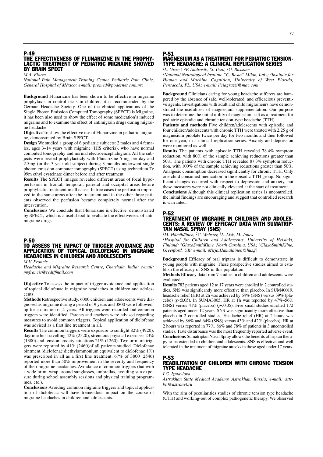# P-49 THE EFFECTIVENESS OF FLUNARIZINE IN THE PROPHY-LACTIC TREATMENT OF PEDIATRIC MIGRAINE SHOWED BY BRAIN SPECT

#### *M.A. Flores*

*National Pain Management Training Center, Pediatric Pain Clinic, General Hospital of México; e-mail: promed@podernet.com.mx*

**Background** Flunarizine has been shown to be effective in migraine prophylaxis in control trials in children, it is recommended by the German Headache Society. One of the clinical applications of the Single Photon Emission Computed Tomography (SPECT) is Migraine, it has been also used to show the effect of some medication's induced migraine and to examine the effect of antimigrain drugs during migraine headache.

**Objective** To show the effective use of Flunarizine in pediatric migraine, demonstrated by Brain SPECT.

**Design** We studied a group of 6 pediatric subjects: 2 males and 4 females, ages 3–14 years with migraine (IHS criteria), who have normal computed tomography and normal electroencephalogram. All the subjects were treated prophylacticly with Flunarizine 5 mg per day and 2.5mg (in the 3 year old subject) during 3 months underwent single photon emission computer tomography (SPECT) using technetium Tc 99m ethyl cysteinate dimer before and after treatment.

**Results** The SPECT images revealed different areas of focal hypoperfusion in frontal, temporal, parietal and occipital areas before prophylactic treatment in all cases. In tree cases the perfusion improved in the same areas after the treatment and in the other three patients observed the perfusion became completely normal after the intervention.

**Conclusions** We conclude that Flunarizine is effective, demonstrated by SPECT, which is a useful tool to evaluate the effectiveness of antimigraine drugs.

# P-50 TO ASSESS THE IMPACT OF TRIGGER AVOIDANCE AND APPLICATION OF TOPICAL DICLOFENAC IN MIGRAINE HEADACHES IN CHILDREN AND ADOLESCENTS

*M.V. Francis*

*Headache and Migraine Research Centre, Cherthala, India; e-mail: mvfrancis@rediffmail.com*

**Objective** To assess the impact of trigger avoidance and application of topical diclofenac in migraine headaches in children and adolescents.

**Methods** Retrospective study. 6000 children and adolescents were diagnosed as migraine during a period of 9 years and 3800 were followedup for a duration of 4 years. All triggers were recorded and common triggers were identified. Parents and teachers were advised regarding measures to avoid common triggers. Topical application of diclofenac was advised as a first line treatment in all.

**Results** The common triggers were exposure to sunlight 82% (4920), daytime bus travelling  $42\%$  (2520), strenuous physical exercises 23% (1380) and tension anxiety situations 21% (1260). Two or more triggers were reported by 41% (2460)of all patients studied. Diclofenac ointment (diclofenac diethylammonium equivalent to diclofenac 1%) was prescribed in all as a first line treatment. 67% of 3800 (2546) reported more than 50% improvement in the severity and frequency of their migraine headaches. Avoidance of common triggers (hat with a wide brim, wrap around sunglasses, umbrellas, avoiding sun exposure during school assembly sessions and physical training programmes, etc.).

**Conclusions** Avoiding common migraine triggers and topical application of diclofenac will have tremendous impact on the course of migraine headaches in children and adolescents.

# P-51 MAGNESIUM AS A TREATMENT FOR PEDIATRIC TENSION-TYPE HEADACHE: A CLINICAL REPLICATION SERIES

*1L. Grazzi, 2F. Andrasik, 1S. Usai, 1G. Bussone*

*1National Neurological Institute "C. Besta" Milan, Italy; 2Institute for Human and Machine Cognition, University of West Florida, Pensacola, FL, USA; e-mail: liciagrazzi@mac.com*

**Background** Clinicians caring for young headache sufferers are hampered by the absence of safe, well-tolerated, and efficacious preventive agents. Investigations with adult and child migraineurs have demonstrated the usefulness of magnesium supplementation. Our purpose was to determine the initial utility of magnesium salt as a treatment for pediatric episodic and chronic tension-type headache (TTH).

Patients and methods Five children/adolescents with episodic and four children/adolescents with chronic TTH were treated with 2.25 g of magnesium pidolate twice per day for two months and then followed for one year, in a clinical replication series. Anxiety and depression were monitored as well.

**Results** The patients with episodic TTH revealed 78.4% symptom reduction, with 80% of the sample achieving reductions greater than 50%. The patients with chronic TTH revealed 87.3% symptom reduction, with 100% of the sample achieving reductions greater than 50%. Analgesic consumption decreased significantly for chronic TTH. Only one child consumed medication in the episodic TTH group. No significant changes occurred with respect to depression and anxiety, but these measures were not clinically elevated at the start of treatment.

**Conclusions** Although this clinical replication series is uncontrolled, the initial findings are encouraging and suggest that controlled research is warranted.

#### P-52

# TREATMENT OF MIGRAINE IN CHILDREN AND ADOLES-CENTS: A REVIEW OF EFFICACY DATA WITH SUMATRIP-TAN NASAL SPRAY (SNS)

*1M. Hämäläinen, 2C. Webster, 3L. Lisk, M. Jones 1Hospital for Children and Adolescents, University of Helsinki,*

*Finland; 2GlaxoSmithKline, North Carolina, USA; 3GlaxoSmithKline, Greenford, UK; e-mail: Mirja.Hamalainen@hus.fi*

**Background** Efficacy of oral triptans is difficult to demonstrate in young people with migraine. These prospective studies aimed to establish the efficacy of SNS in this population.

**Methods** Efficacy data from 7 studies in children and adolescents were evaluated.

**Results** 782 patients aged 12 to 17 years were enrolled in 2 controlled studies. SNS was significantly more effective than placebo. In SUM40019, headache relief (HR) at 2h was achieved by 64% (SNS) versus 39% (placebo) ( $p$ <0.05). In SUMA3005, HR at 1h was reported by  $47\% - 56\%$ (SNS) versus 41% (placebo) (*p*<0.05). Five small studies enrolled 172 patients aged under 12 years. SNS was significantly more effective than placebo in 2 controlled studies. Headache relief (HR) at 2 hours was achieved by 86% and 64% (SNS) versus 43% and 42% (placebo). HR at 2 hours was reported in 77%, 86% and 78% of patients in 3 uncontrolled studies. Taste disturbance was the most frequently reported adverse event. **Conclusions** Sumatriptan Nasal Spray allows the benefits of triptan therapy to be extended to children and adolescents. SNS is effective and well tolerated in the treatment of migraine attacks in those aged under 17 years.

# P-53 REABILITATION OF CHILDREN WITH CHRONIC TENSION TYPE HEADACHE

*I.G. Izmaylova*

*Astrakhan State Medical Academy, Astrakhan, Russia; e-mail: astrbii@astranet.ru*

With the aim of peculiarities studies of chronic tension type headache (CTH) and working-out of complex pathogenetic therapy. We observed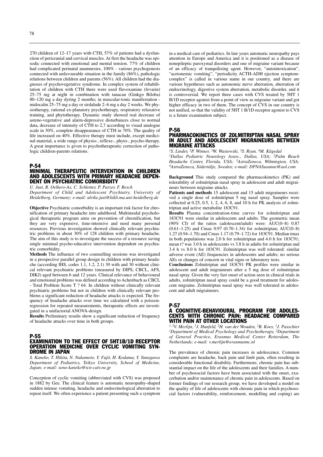270 children of 12–17 years with CTH, 57% of patients had a dysfunction of pericranial and cervical muscles. At first the headache was episodic connected with emotional and mental tension. 77% of children had complicated perinatal anamnesies, 100% - various psychogenesis connected with unfavourable situation in the family (86%), pathologic relations between children and parents (56%). All children had the diagnoses of psychovegetative syndrome. In complex system of rehabilitation of children with CTH there were used fluvoxamine (fevarin) 25–75 mg at night in combination with tanacan (Ginkgo Biloba) 80–120 mg a day dyring 2 months; in muscular-tonic manifestation midocalm 25–75 mg a day or sirdalude 2–6 mg a day 2 weeks. We physiotherapy, rational ex-planatory psychotherapy, respiratory relaxative training, and phytotherapy. Dynamic study showed real decrease of asteno-vegetative and alarm-depressive disturbances close to normal data, decrease of intensity of CTH to 2,7 according to visual analogue scale in 30%, complete disappearance of CTH in 70%. The quality of life increased on 40%. Effective therapy must include, except medicinal material, a wide range of physio-, reflexe-, phyto-, psycho-therapy. A great importance is given to psychotherapeutic correction of pathologic children-parents relations.

### P-54 MINIMAL THERAPEUTIC INTERVENTION IN CHILDREN AND ADOLESCENTS WITH PRIMARY HEADACHE DEPEN-DENT ON PSYCHIATRIC COMORBIDITY

*U. Just, R. Oelkers-Ax, C. Schlotter, P. Parzer, F. Resch Department of Child and Adolescent Psychiatry, University of Heidelberg, Germany; e-mail: ulrike.just@kikli.ma.uni-heidelberg.de*

**Objective** Psychiatric comorbidity is an important risk factor for chronification of primary headache into adulthood. Multimodal psychological therapeutic program aims on prevention of chronification, but they are very expensive, time-intensive and need many personal resources. Previous investigation showed clinically relevant psychiatric problems in about 30% of 128 children with primary headache. The aim of this study is to investigate the success of a resource saving single minimal psycho-educative intervention dependent on psychiatric comorbidity.

**Methods** The influence of two counselling sessions was investigated in a prospective parallel group design in children with primary headache (according IHS, codes 1.1, 1.2, 2.1) 30 with and 30 without clinical relevant psychiatric problems (measured by DIPS, CBCL, AFS, DIKJ) aged between 6 and 12 years. Clinical relevance of behavioural and emotional problems was defined according to Achenbach as CBCL

- Total Problem Score T ? 64. In children without clinically relevant psychiatric problems but not in children with clinically relevant problems a significant reduction of headache attacks is expected. The frequency of headache attacks over time we calculated with a poissonregression for repeated measurements, therapeutic effects are investigated in a unifactorial ANOVA-design.

**Results** Preliminary results show a significant reduction of frequency of headache attacks over time in both groups.

#### P-55

# EXAMINATION TO THE EFFECT OF 5HT1B/1D RECEPTOR OPERATION MEDICINE OVER CYCLIC VOMITING SYN-DROME IN JAPAN

*S. Kaneko, T. Hikita, N. Nakamoto, Y. Fujii, H. Kodama, Y. Yanagawa Department of Pediatrics, Teikyo University, School of Medicine, Japan; e-mail: sono-kaneko@tcn-catv.ne.jp*

Conception of cyclic vomiting (abbreviated with CVS) was proposed in 1882 by Gee. The clinical feature is automatic neuropathy-shaped sudden intense vomiting, headache and endocrinological aberration to repeat itself. We often experience a patient presenting such a symptom in a medical care of pediatrics. In late years automatic neuropathy pays attention in Europe and America and it is positioned as a disease of nonepileptic paroxymal disorders and one of migraine variant because of an efficacy of tranquilizing agent. However, "autointoxication", "acetonemic vomiting", "periodicity ACTH-ADH ejection symptomcomplex" is called in various name in our country, and there are various hypotheses such as autonomic nerve aberration, aberration of endocrinology, digestive system aberration, metabolic disorder, and it is controversial. We report three cases with CVS treated by 5HT 1 B/1D receptor agonist from a point of view as migraine variant and got higher efficacy in two of them. The concept of CVS in our country is not unified, so that the validity of 5HT 1 B/1D receptor agonist to CVS is a future examination subject.

#### P-56

# PHARMACOKINETICS OF ZOLMITRIPTAN NASAL SPRAY IN ADULT AND ADOLESCENT MIGRAINEURS BETWEEN MIGRAINE ATTACKS

*1S. Linder, 2P. Winner, 3W. Wasiewski, 3S. Ryan, 4M. Kågedal*

*1Dallas Pediatric Neurology Assoc., Dallas, USA; 2Palm Beach Headache Center, Florida, USA; 3AstraZeneca, Wilmington, USA; 4AstraZeneca, Södertälje, Sweden; e-mail: DPNASusanne@aol.com*

**Background** This study compared the pharmacokinetics (PK) and tolerability of zolmitriptan nasal spray in adolescent and adult migraineurs between migraine attacks.

**Patients and methods** 15 adolescent and 15 adult migraineurs received a single dose of zolmitriptan 5 mg nasal spray. Samples were collected at  $0.25$ ,  $0.5$ ,  $1$ ,  $2$ ,  $4$ ,  $6$ ,  $8$ , and  $10$  h for PK analysis of zolmitriptan and active metabolite 183C91.

**Results** Plasma concentration-time curves for zolmitriptan and 183C91 were similar in adolescents and adults. The geometric mean (90% CI) of the ratios (adolescent/adult) were: AUC(0–8) 0.87  $(0.61-1.25)$  and Cmax 0.97 (0.70-1.34) for zolmitriptan; AUC(0-8) 1.27 (0.94–1.70) and Cmax 1.17 (0.79–1.72) for 183C91. Median tmax in both populations was 2.0 h for zolmitriptan and 4.0 h for 183C91; mean t? was 3.0 h in adolescents vs 3.8 h in adults for zolmitriptan and 3.4 h vs 8.0 h for 183C91. Zolmitriptan was well tolerated: similar adverse event (AE) frequencies in adolescents and adults; no serious AEs or changes of concern in vital signs or laboratory tests.

**Conclusions** Zolmitriptan and 183C91 PK profiles were similar in adolescent and adult migraineurs after a 5 mg dose of zolmitriptan nasal spray. Given the very fast onset of action seen in clinical trials in adults, zolmitriptan nasal spray could be a good treatment for adolescent migraine. Zolmitriptan nasal spray was well tolerated in adolescent and adult migraineurs.

# P-57

# A COGNITIVE-BEHAVIOURAL PROGRAM FOR ADOLES-CENTS WITH CHRONIC PAIN: HEADACHE COMPARED WITH PAIN AT OTHER LOCATIONS

*1, 2V. Merlijn, 1J. Hunfeld, 2H. van der Wouden, 2B. Koes, 1J. Passchier 1Department of Medical Psychology and Psychotherapy, 2Department of General Practice, Erasmus Medical Center Rotterdam, The Netherlands; e-mail: v.merlijn@erasmusmc.nl*

The prevalence of chronic pain increases in adolescence. Common complaints are headache, back pain and limb pain, often resulting in considerable functional disability. Furthermore, chronic pain has substantial impact on the life of the adolescents and their families. A number of psychosocial factors have been associated with the onset, exacerbation and/or maintenance of chronic pain in adolescents. Based on former findings of our research group, we have developed a model on the quality of life of adolescents with chronic pain in which psychosocial factors (vulnerability, reinforcement, modelling and coping) are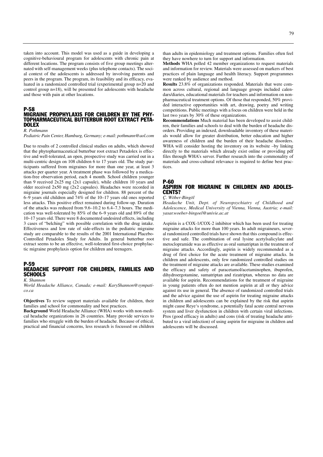taken into account. This model was used as a guide in developing a cognitive-behavioural program for adolescents with chronic pain at different locations. The program consists of five group meetings alternated with self-management weeks (plus telephone contacts). The social context of the adolescents is addressed by involving parents and peers in the program. The program, its feasibility and its efficacy, evaluated in a randomized controlled trial (experimental group n=20 and control group n=18), will be presented for adolescents with headache and those with pain at other locations.

### P-58 MIGRAINE PROPHYLAXIS FOR CHILDREN BY THE PHY-TOPHARMACEUTICAL BUTTERBUR ROOT EXTRACT PETA-DOLEX

*R. Pothmann*

*Pediatric Pain Center, Hamburg, Germany; e-mail: pothmann@aol.com*

Due to results of 2 controlled clinical studies on adults, which showed that the phytopharmaceutical butterbur root extract Petadolex is effective and well-tolerated, an open, prospective study was carried out in a multi-centric design on 108 children 6 to 17 years old. The study participants suffered from migraines for more than one year, at least 3 attacks per quarter year. A treatment phase was followed by a medication-free observation period, each 4 month. School children younger than 9 received  $2x25$  mg ( $2x1$  capsule), while children 10 years and older received 2x50 mg (2x2 capsules). Headaches were recorded in migraine journals especially designed for children. 88 percent of the 6–9 years old children and 74% of the 10–17 years old ones reported less attacks. This positive effect remained during follow-up. Duration of the attacks was reduced from 9.6–10.2 to 6.4–7.3 hours. The medication was well-tolerated by 85% of the 6–9 years old and 89% of the 10–17 years old. There were 8 documented undesired effects, including 3 cases of "belching" with possible correlation with the drug intake. Effectiveness and low rate of side-effects in the pediatric migraine study are comparable to the results of the 2001 International Placebo-Controlled Petadolex Study for Adults. In general butterbur root extract seems to be an effective, well-tolerated first-choice prophylactic migraine prophylaxis option for children and teenagers.

# P-59 HEADACHE SUPPORT FOR CHILDREN, FAMILIES AND SCHOOLS

*K. Shannon*

*World Headache Alliance, Canada; e-mail: KaryShannon@sympatico.ca*

**Objectives** To review support materials available for children, their families and school for commonality and best practices.

**Background** World Headache Alliance (WHA) works with non-medical headache organizations in 26 countries. Many provide services to families who struggle with the burden of headache. Because of ethical, practical and financial concerns, less research is focussed on children

**Methods** WHA polled 42 member organizations to request materials and information for review. Materials were assessed on markers of best practices of plain language and health literacy. Support programmes were ranked by audience and method.

**Results** 23.8% of organizations responded. Materials that were common across cultural, regional and language groups included calendars/diaries, educational materials for teachers and information on nonpharmaceutical treatment options. Of those that responded, 50% provided interactive opportunities with art, drawing, poetry and writing competitions. Public meetings with a focus on children were held in the last two years by 30% of these organizations.

**Recommendations** Much material has been developed to assist children, their families and schools to deal with the burden of headache disorders. Providing an indexed, downloadable inventory of these materials would allow for greater distribution, better education and higher awareness of children and the burden of their headache disorders. WHA will consider hosting the inventory on its website –by linking directly to the materials which already exist online or providing pdf files through WHA's server. Further research into the commonality of materials and cross-cultural relevance is required to define best practices.

#### P-60 ASPIRIN FOR MIGRAINE IN CHILDREN AND ADOLES-CENTS?

*Ç. Wöber-Bingöl*

*Headache Unit, Dept. of Neuropsychiatry of Childhood and Adolescence, Medical University of Vienna, Vienna, Austria; e-mail: yasar.woeber-bingoel@univie.ac.at*

Aspirin is a COX-1/COX-2 inhibitor which has been used for treating migraine attacks for more than 100 years. In adult migraineurs, several randomized controlled trials have shown that this compound is effective and safe. The combination of oral lysine acetylsalicylate and metoclopramide was as effective as oral sumatriptan in the treatment of migraine attacks. Accordingly, aspirin is widely recommended as a drug of first choice for the acute treatment of migraine attacks. In children and adolescents, only few randomized controlled studies on the treatment of migraine attacks are available. These studies examined the efficacy and safety of paracetamol/acetaminophen, ibuprofen, dihydroergotamine, sumatriptan and rizatriptan, whereas no data are available for aspirin. Recommendations for the treatment of migraine in young patients often do not mention aspirin at all or they advice against its use in general. The absence of randomized controlled trials and the advice against the use of aspirin for treating migraine attacks in children and adolescents can be explained by the risk that aspirin might cause Reye's syndrome, a potentially fatal acute central nervous system and liver dysfunction in children with certain viral infections. Pros (good efficacy in adults) and cons (risk of treating headache attributed to a viral infection) of using aspirin for migraine in children and adolescents will be discussed.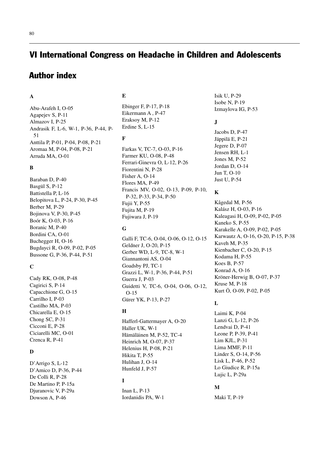# 80

# VI International Congress on Headache in Children and Adolescents

# Author index

# **A**

Abu-Arafeh I, O-05 Agapejev S, P-11 Almazov I, P-25 Andrasik F, L-6, W-1, P-36, P-44, P-51 Anttila P, P-01, P-04, P-08, P-21 Aromaa M, P-04, P-08, P-21 Arruda MA, O-01

# **B**

Baraban D, P-40 Basgül S, P-12 Battistella P, L-16 Belopitova L, P-24, P-30, P-45 Berber M, P-29 Bojinova V, P-30, P-45 Boór K, O-03, P-16 Boranic M, P-40 Bordini CA, O-01 Buchegger H, O-16 Bugdayci R, O-09, P-02, P-05 Bussone G, P-36, P-44, P-51

# **C**

Cady RK, O-08, P-48 Cagirici S, P-14 Capacchione G, O-15 Carrilho I, P-03 Castilho MA, P-03 Chicarella E, O-15 Chong SC, P-31 Cicconi E, P-28 Ciciarelli MC, O-01 Crenca R, P-41

# **D**

D'Arrigo S, L-12 D'Amico D, P-36, P-44 De Colli R, P-28 De Martino P, P-15a Djuranovic V, P-29a Dowson A, P-46

**E**

Ebinger F, P-17, P-18 Eikermann A , P-47 Eraksoy M, P-12 Erdine S, L-15

# **F**

Farkas V, TC-7, O-03, P-16 Farmer KU, O-08, P-48 Ferrari-Ginevra O, L-12, P-26 Fiorentini N, P-28 Fisher A, O-14 Flores MA, P-49 Francis MV, O-02, O-13, P-09, P-10, P-32, P-33, P-34, P-50 Fujii Y, P-55 Fujita M, P-19 Fujiwara J, P-19

# **G**

Galli F, TC-6, O-04, O-06, O-12, O-15 Geldner J, O-20, P-15 Gerber WD, L-9, TC-8, W-1 Giannantoni AS, O-04 Goadsby PJ, TC-1 Grazzi L, W-1, P-36, P-44, P-51 Guerra J, P-03 Guidetti V, TC-6, O-04, O-06, O-12, O-15 Gürer YK, P-13, P-27

# **H**

Hafferl-Gattermayer A, O-20 Haller UK, W-1 Hämäläinen M, P-52, TC-4 Heinrich M, O-07, P-37 Helenius H, P-08, P-21 Hikita T, P-55 Hulihan J, O-14 Hunfeld J, P-57

# **I**

Inan L, P-13 Iordanidis PA, W-1 Isik U, P-29 Isobe N, P-19 Izmaylova IG, P-53

# **J**

Jacobs D, P-47 Jäppilä E, P-21 Jegere D, P-07 Jensen RH, L-1 Jones M, P-52 Jordan D, O-14 Jun T, O-10 Just U, P-54

# **K**

Kågedal M, P-56 Kalász H, O-03, P-16 Kaleagasi H, O-09, P-02, P-05 Kaneko S, P-55 Karakelle A, O-09, P-02, P-05 Karwautz A, O-16, O-20, P-15, P-38 Kaveh M, P-35 Kienbacher C, O-20, P-15 Kodama H, P-55 Koes B, P-57 Konrad A, O-16 Kröner-Herwig B, O-07, P-37 Kruse M, P-18 Kurt Ö, O-09, P-02, P-05

# **L**

Laimi K, P-04 Lanzi G, L-12, P-26 Lendvai D, P-41 Leone P, P-39, P-41 Lim KJL, P-31 Lima MMF, P-11 Linder S, O-14, P-56 Lisk L, P-46, P-52 Lo Giudice R, P-15a Lujic L, P-29a

# **M**

Maki T, P-19